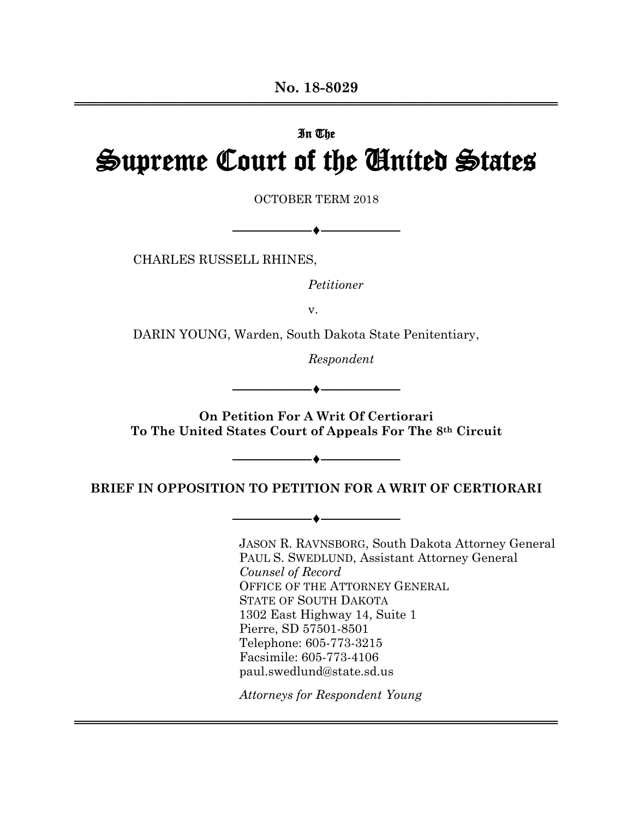# In The Supreme Court of the United States

OCTOBER TERM 2018

CHARLES RUSSELL RHINES,

*Petitioner*

──◆──────────────────

v.

DARIN YOUNG, Warden, South Dakota State Penitentiary,

*Respondent*

─────────♦─────────

─◆────────────

─────────♦─────────

**On Petition For A Writ Of Certiorari To The United States Court of Appeals For The 8th Circuit**

**BRIEF IN OPPOSITION TO PETITION FOR A WRIT OF CERTIORARI**

 JASON R. RAVNSBORG, South Dakota Attorney General PAUL S. SWEDLUND, Assistant Attorney General *Counsel of Record* OFFICE OF THE ATTORNEY GENERAL STATE OF SOUTH DAKOTA 1302 East Highway 14, Suite 1 Pierre, SD 57501-8501 Telephone: 605-773-3215 Facsimile: 605-773-4106 paul.swedlund@state.sd.us

*Attorneys for Respondent Young*

═══════════════════════════════════════════════════════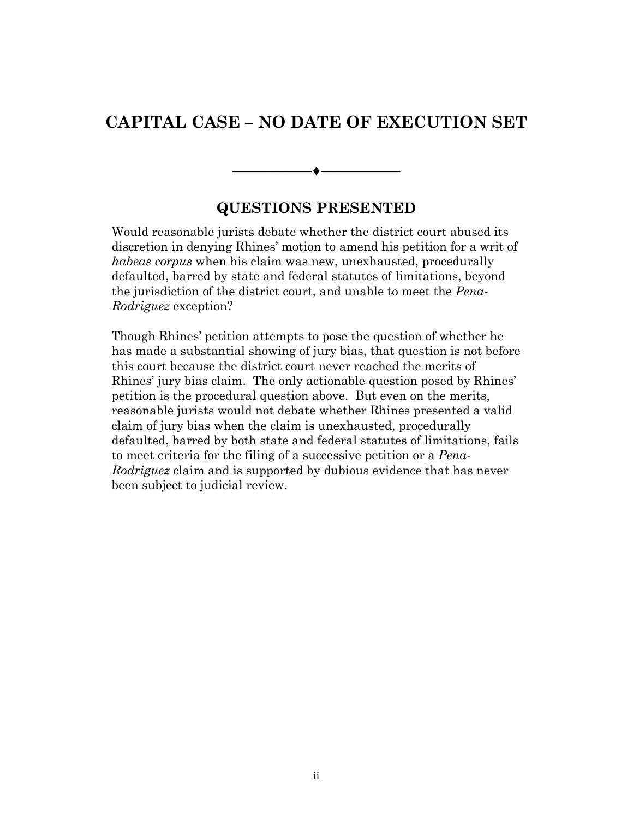## **CAPITAL CASE – NO DATE OF EXECUTION SET**

## **QUESTIONS PRESENTED**

────────**◆**─────────

Would reasonable jurists debate whether the district court abused its discretion in denying Rhines' motion to amend his petition for a writ of *habeas corpus* when his claim was new, unexhausted, procedurally defaulted, barred by state and federal statutes of limitations, beyond the jurisdiction of the district court, and unable to meet the *Pena-Rodriguez* exception?

Though Rhines' petition attempts to pose the question of whether he has made a substantial showing of jury bias, that question is not before this court because the district court never reached the merits of Rhines' jury bias claim. The only actionable question posed by Rhines' petition is the procedural question above. But even on the merits, reasonable jurists would not debate whether Rhines presented a valid claim of jury bias when the claim is unexhausted, procedurally defaulted, barred by both state and federal statutes of limitations, fails to meet criteria for the filing of a successive petition or a *Pena-Rodriguez* claim and is supported by dubious evidence that has never been subject to judicial review.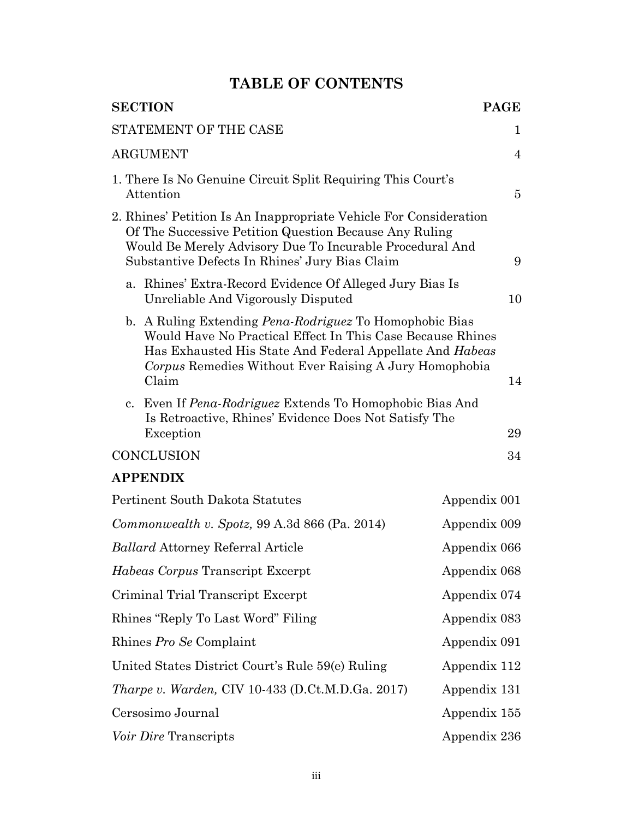## **TABLE OF CONTENTS**

| <b>SECTION</b>                                                                                                                                                                                                                                              | <b>PAGE</b>    |
|-------------------------------------------------------------------------------------------------------------------------------------------------------------------------------------------------------------------------------------------------------------|----------------|
| STATEMENT OF THE CASE                                                                                                                                                                                                                                       | 1              |
| <b>ARGUMENT</b>                                                                                                                                                                                                                                             | $\overline{4}$ |
| 1. There Is No Genuine Circuit Split Requiring This Court's<br>Attention                                                                                                                                                                                    | $\overline{5}$ |
| 2. Rhines' Petition Is An Inappropriate Vehicle For Consideration<br>Of The Successive Petition Question Because Any Ruling<br>Would Be Merely Advisory Due To Incurable Procedural And<br>Substantive Defects In Rhines' Jury Bias Claim                   | 9              |
| a. Rhines' Extra-Record Evidence Of Alleged Jury Bias Is<br>Unreliable And Vigorously Disputed                                                                                                                                                              | 10             |
| b. A Ruling Extending <i>Pena-Rodriguez</i> To Homophobic Bias<br>Would Have No Practical Effect In This Case Because Rhines<br>Has Exhausted His State And Federal Appellate And Habeas<br>Corpus Remedies Without Ever Raising A Jury Homophobia<br>Claim | 14             |
| c. Even If <i>Pena-Rodriguez</i> Extends To Homophobic Bias And<br>Is Retroactive, Rhines' Evidence Does Not Satisfy The<br>Exception                                                                                                                       | 29             |
| <b>CONCLUSION</b>                                                                                                                                                                                                                                           | 34             |
| <b>APPENDIX</b>                                                                                                                                                                                                                                             |                |
| <b>Pertinent South Dakota Statutes</b>                                                                                                                                                                                                                      | Appendix 001   |
| $Commonwealth v. Spotz, 99 A.3d 866 (Pa. 2014)$                                                                                                                                                                                                             | Appendix 009   |
| <i>Ballard</i> Attorney Referral Article                                                                                                                                                                                                                    | Appendix 066   |
| <i>Habeas Corpus</i> Transcript Excerpt                                                                                                                                                                                                                     | Appendix 068   |
| Criminal Trial Transcript Excerpt                                                                                                                                                                                                                           | Appendix 074   |
| Rhines "Reply To Last Word" Filing                                                                                                                                                                                                                          | Appendix 083   |
| Rhines Pro Se Complaint                                                                                                                                                                                                                                     | Appendix 091   |
| United States District Court's Rule 59(e) Ruling                                                                                                                                                                                                            | Appendix 112   |
| <i>Tharpe v. Warden, CIV 10-433 (D.Ct.M.D.Ga. 2017)</i>                                                                                                                                                                                                     | Appendix 131   |
| Cersosimo Journal                                                                                                                                                                                                                                           | Appendix 155   |
| <i>Voir Dire</i> Transcripts                                                                                                                                                                                                                                | Appendix 236   |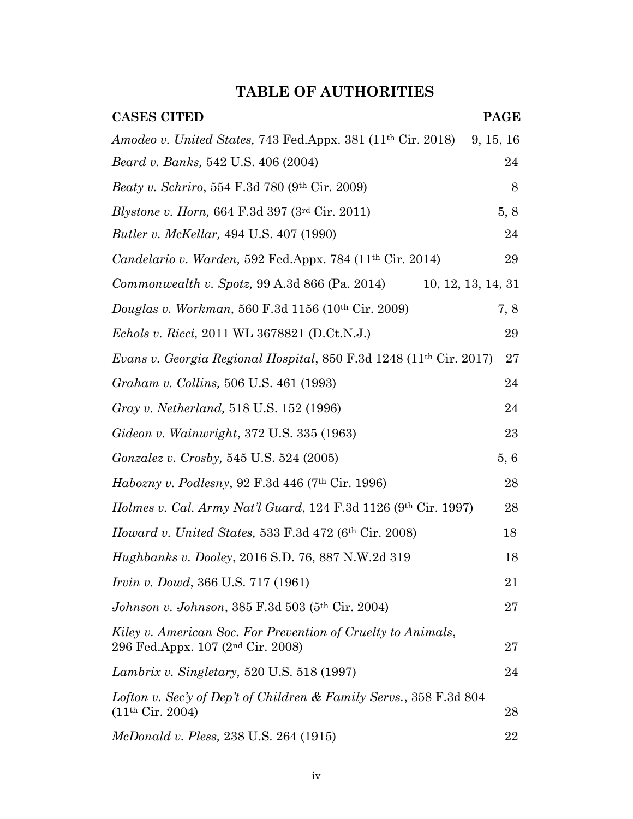## **TABLE OF AUTHORITIES**

| <b>CASES CITED</b>                                                                                            | <b>PAGE</b> |
|---------------------------------------------------------------------------------------------------------------|-------------|
| Amodeo v. United States, 743 Fed.Appx. 381 (11 <sup>th</sup> Cir. 2018)                                       | 9, 15, 16   |
| <i>Beard v. Banks</i> , 542 U.S. 406 (2004)                                                                   | 24          |
| Beaty v. Schriro, 554 F.3d 780 (9th Cir. 2009)                                                                | 8           |
| Blystone v. Horn, 664 F.3d 397 (3rd Cir. 2011)                                                                | 5, 8        |
| <i>Butler v. McKellar, 494 U.S. 407 (1990)</i>                                                                | 24          |
| Candelario v. Warden, 592 Fed.Appx. 784 (11 <sup>th</sup> Cir. 2014)                                          | 29          |
| <i>Commonwealth v. Spotz</i> , 99 A.3d 866 (Pa. 2014)<br>10, 12, 13, 14, 31                                   |             |
| Douglas v. Workman, 560 F.3d 1156 (10th Cir. 2009)                                                            | 7, 8        |
| Echols v. Ricci, 2011 WL 3678821 (D.Ct.N.J.)                                                                  | 29          |
| Evans v. Georgia Regional Hospital, 850 F.3d 1248 (11th Cir. 2017)                                            | 27          |
| Graham v. Collins, 506 U.S. 461 (1993)                                                                        | 24          |
| Gray v. Netherland, 518 U.S. 152 (1996)                                                                       | 24          |
| Gideon v. Wainwright, 372 U.S. 335 (1963)                                                                     | 23          |
| <i>Gonzalez v. Crosby,</i> 545 U.S. 524 (2005)                                                                | 5, 6        |
| <i>Habozny v. Podlesny</i> , 92 F.3d 446 (7 <sup>th</sup> Cir. 1996)                                          | 28          |
| <i>Holmes v. Cal. Army Nat'l Guard, 124 F.3d 1126 (9th Cir. 1997)</i>                                         | 28          |
| Howard v. United States, 533 F.3d 472 (6th Cir. 2008)                                                         | 18          |
| <i>Hughbanks v. Dooley, 2016 S.D. 76, 887 N.W.2d 319</i>                                                      | 18          |
| <i>Irvin v. Dowd, 366 U.S. 717 (1961)</i>                                                                     | 21          |
| Johnson v. Johnson, 385 F.3d 503 (5th Cir. 2004)                                                              | 27          |
| Kiley v. American Soc. For Prevention of Cruelty to Animals,<br>296 Fed.Appx. 107 (2 <sup>nd</sup> Cir. 2008) | 27          |
| Lambrix v. Singletary, 520 U.S. 518 (1997)                                                                    | 24          |
| Lofton v. Sec'y of Dep't of Children & Family Servs., 358 F.3d 804<br>(11 <sup>th</sup> Cir. 2004)            | 28          |
| McDonald v. Pless, 238 U.S. 264 (1915)                                                                        | 22          |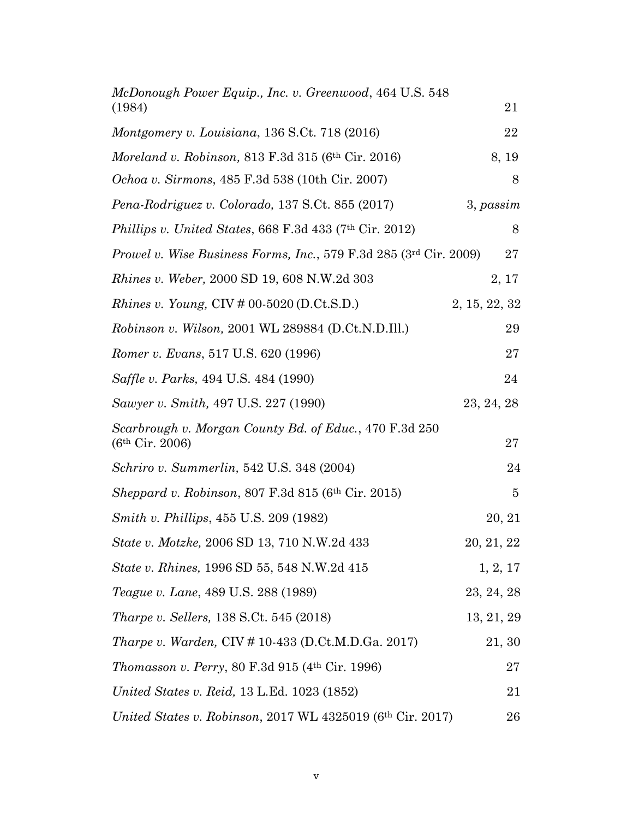| McDonough Power Equip., Inc. v. Greenwood, 464 U.S. 548<br>(1984)                     | 21             |
|---------------------------------------------------------------------------------------|----------------|
| Montgomery v. Louisiana, 136 S.Ct. 718 (2016)                                         | 22             |
| Moreland v. Robinson, 813 F.3d 315 (6th Cir. 2016)                                    | 8, 19          |
| <i>Ochoa v. Sirmons</i> , 485 F.3d 538 (10th Cir. 2007)                               | 8              |
| Pena-Rodriguez v. Colorado, 137 S.Ct. 855 (2017)                                      | 3, passim      |
| Phillips v. United States, 668 F.3d 433 (7th Cir. 2012)                               | 8              |
| Prowel v. Wise Business Forms, Inc., 579 F.3d 285 (3rd Cir. 2009)                     | 27             |
| <i>Rhines v. Weber, 2000 SD 19, 608 N.W.2d 303</i>                                    | 2, 17          |
| <i>Rhines v. Young, CIV # 00-5020 (D.Ct.S.D.)</i>                                     | 2, 15, 22, 32  |
| Robinson v. Wilson, 2001 WL 289884 (D.Ct.N.D.Ill.)                                    | 29             |
| Romer v. Evans, 517 U.S. 620 (1996)                                                   | 27             |
| Saffle v. Parks, 494 U.S. 484 (1990)                                                  | 24             |
| Sawyer v. Smith, 497 U.S. 227 (1990)                                                  | 23, 24, 28     |
| Scarbrough v. Morgan County Bd. of Educ., 470 F.3d 250<br>(6 <sup>th</sup> Cir. 2006) | 27             |
| <i>Schriro v. Summerlin, 542 U.S. 348 (2004)</i>                                      | 24             |
| <i>Sheppard v. Robinson, 807 F.3d 815 (6th Cir. 2015)</i>                             | $\overline{5}$ |
| <i>Smith v. Phillips, 455 U.S. 209 (1982)</i>                                         | 20, 21         |
| State v. Motzke, 2006 SD 13, 710 N.W.2d 433                                           | 20, 21, 22     |
| State v. Rhines, 1996 SD 55, 548 N.W.2d 415                                           | 1, 2, 17       |
| Teague v. Lane, 489 U.S. 288 (1989)                                                   | 23, 24, 28     |
| <i>Tharpe v. Sellers, 138 S.Ct. 545 (2018)</i>                                        | 13, 21, 29     |
| <i>Tharpe v. Warden, CIV #</i> 10-433 (D.Ct.M.D.Ga. 2017)                             | 21, 30         |
| <i>Thomasson v. Perry, 80 F.3d 915 (4th Cir. 1996)</i>                                | 27             |
| United States v. Reid, 13 L.Ed. 1023 (1852)                                           | 21             |
| United States v. Robinson, 2017 WL 4325019 (6th Cir. 2017)                            | 26             |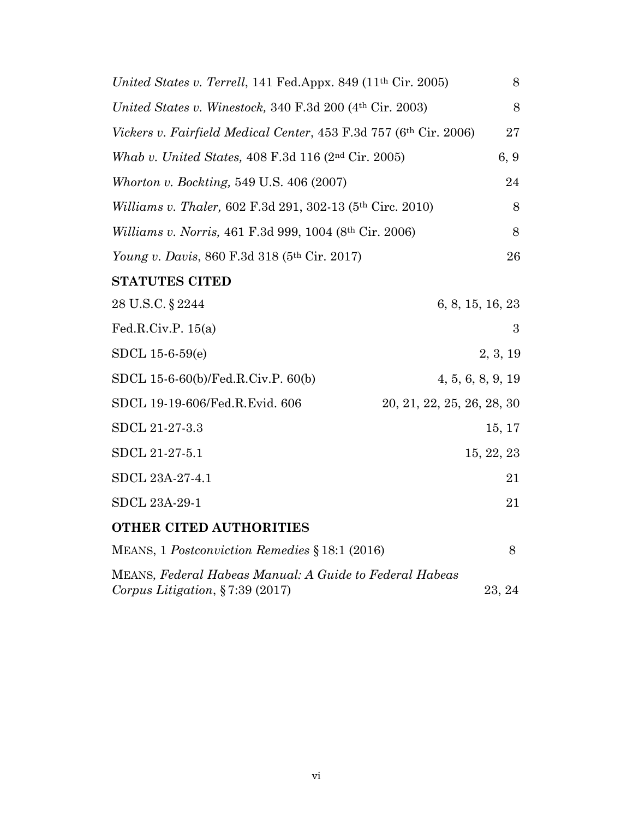| United States v. Terrell, 141 Fed.Appx. 849 (11 <sup>th</sup> Cir. 2005)                             | 8                          |
|------------------------------------------------------------------------------------------------------|----------------------------|
| United States v. Winestock, 340 F.3d 200 (4th Cir. 2003)                                             | 8                          |
| Vickers v. Fairfield Medical Center, 453 F.3d 757 (6th Cir. 2006)                                    | 27                         |
| Whab v. United States, 408 F.3d 116 (2 <sup>nd</sup> Cir. 2005)                                      | 6, 9                       |
| Whorton v. Bockting, 549 U.S. 406 (2007)                                                             | 24                         |
| Williams v. Thaler, 602 F.3d 291, 302-13 (5th Circ. 2010)                                            | 8                          |
| Williams v. Norris, 461 F.3d 999, 1004 (8th Cir. 2006)                                               | 8                          |
| Young v. Davis, 860 F.3d 318 (5th Cir. 2017)                                                         | 26                         |
| <b>STATUTES CITED</b>                                                                                |                            |
| 28 U.S.C. § 2244                                                                                     | 6, 8, 15, 16, 23           |
| Fed.R.Civ.P. $15(a)$                                                                                 | 3                          |
| $SDCL$ 15-6-59 $(e)$                                                                                 | 2, 3, 19                   |
| SDCL 15-6-60(b)/Fed.R.Civ.P. 60(b)                                                                   | 4, 5, 6, 8, 9, 19          |
| SDCL 19-19-606/Fed.R.Evid. 606                                                                       | 20, 21, 22, 25, 26, 28, 30 |
| SDCL 21-27-3.3                                                                                       | 15, 17                     |
| SDCL 21-27-5.1                                                                                       | 15, 22, 23                 |
| SDCL 23A-27-4.1                                                                                      | 21                         |
| SDCL 23A-29-1                                                                                        | 21                         |
| <b>OTHER CITED AUTHORITIES</b>                                                                       |                            |
| MEANS, 1 Postconviction Remedies § 18:1 (2016)                                                       | 8                          |
| <b>MEANS, Federal Habeas Manual: A Guide to Federal Habeas</b><br>Corpus Litigation, $\S 7:39(2017)$ | 23, 24                     |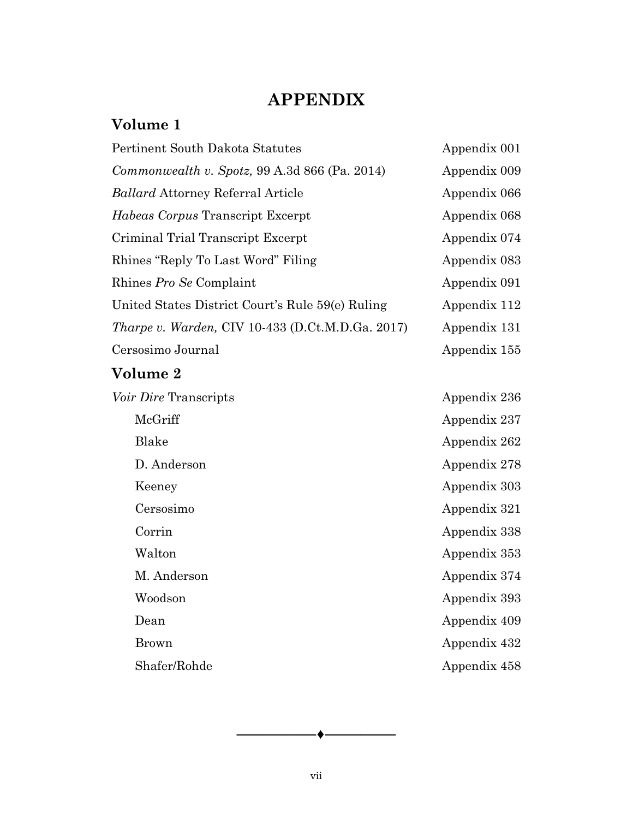## **APPENDIX**

## **Volume 1**

| Pertinent South Dakota Statutes                         | Appendix 001 |
|---------------------------------------------------------|--------------|
| Commonwealth v. Spotz, 99 A.3d 866 (Pa. 2014)           | Appendix 009 |
| <b>Ballard Attorney Referral Article</b>                | Appendix 066 |
| Habeas Corpus Transcript Excerpt                        | Appendix 068 |
| Criminal Trial Transcript Excerpt                       | Appendix 074 |
| Rhines "Reply To Last Word" Filing                      | Appendix 083 |
| Rhines Pro Se Complaint                                 | Appendix 091 |
| United States District Court's Rule 59(e) Ruling        | Appendix 112 |
| <i>Tharpe v. Warden, CIV 10-433 (D.Ct.M.D.Ga. 2017)</i> | Appendix 131 |
| Cersosimo Journal                                       | Appendix 155 |
| <b>Volume 2</b>                                         |              |
| Voir Dire Transcripts                                   | Appendix 236 |
| McGriff                                                 | Appendix 237 |
| Blake                                                   | Appendix 262 |
| D. Anderson                                             | Appendix 278 |
| Keeney                                                  | Appendix 303 |
| Cersosimo                                               | Appendix 321 |
| Corrin                                                  | Appendix 338 |
| Walton                                                  | Appendix 353 |
| M. Anderson                                             | Appendix 374 |
| Woodson                                                 | Appendix 393 |
| Dean                                                    | Appendix 409 |
| <b>Brown</b>                                            | Appendix 432 |
| Shafer/Rohde                                            | Appendix 458 |

─────────♦────────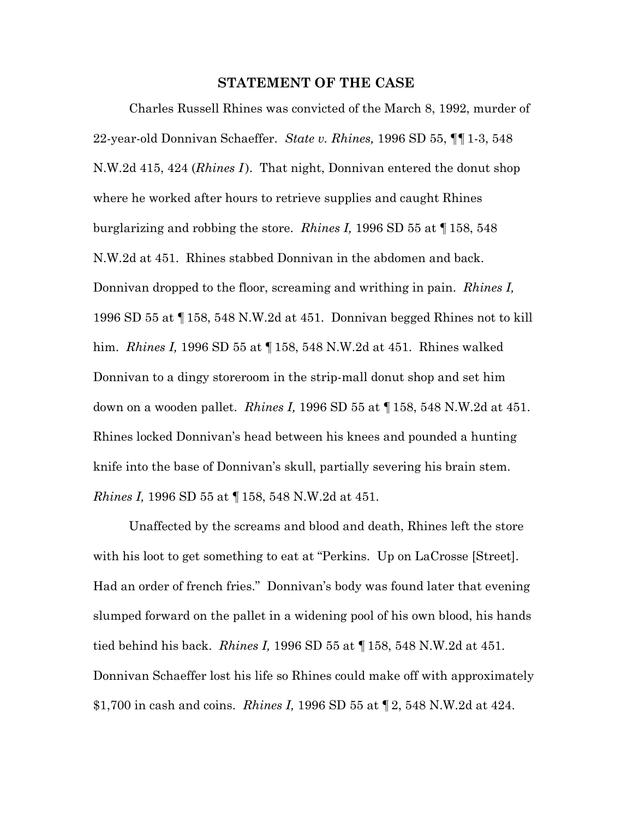#### **STATEMENT OF THE CASE**

 Charles Russell Rhines was convicted of the March 8, 1992, murder of 22-year-old Donnivan Schaeffer. *State v. Rhines,* 1996 SD 55, ¶¶1-3, 548 N.W.2d 415, 424 (*Rhines I* ). That night, Donnivan entered the donut shop where he worked after hours to retrieve supplies and caught Rhines burglarizing and robbing the store. *Rhines I,* 1996 SD 55 at ¶ 158, 548 N.W.2d at 451. Rhines stabbed Donnivan in the abdomen and back. Donnivan dropped to the floor, screaming and writhing in pain. *Rhines I,* 1996 SD 55 at ¶158, 548 N.W.2d at 451. Donnivan begged Rhines not to kill him. *Rhines I,* 1996 SD 55 at ¶158, 548 N.W.2d at 451. Rhines walked Donnivan to a dingy storeroom in the strip-mall donut shop and set him down on a wooden pallet. *Rhines I,* 1996 SD 55 at ¶158, 548 N.W.2d at 451. Rhines locked Donnivan's head between his knees and pounded a hunting knife into the base of Donnivan's skull, partially severing his brain stem. *Rhines I,* 1996 SD 55 at ¶158, 548 N.W.2d at 451.

 Unaffected by the screams and blood and death, Rhines left the store with his loot to get something to eat at "Perkins. Up on LaCrosse [Street]. Had an order of french fries." Donnivan's body was found later that evening slumped forward on the pallet in a widening pool of his own blood, his hands tied behind his back. *Rhines I,* 1996 SD 55 at ¶158, 548 N.W.2d at 451. Donnivan Schaeffer lost his life so Rhines could make off with approximately \$1,700 in cash and coins. *Rhines I,* 1996 SD 55 at ¶2, 548 N.W.2d at 424.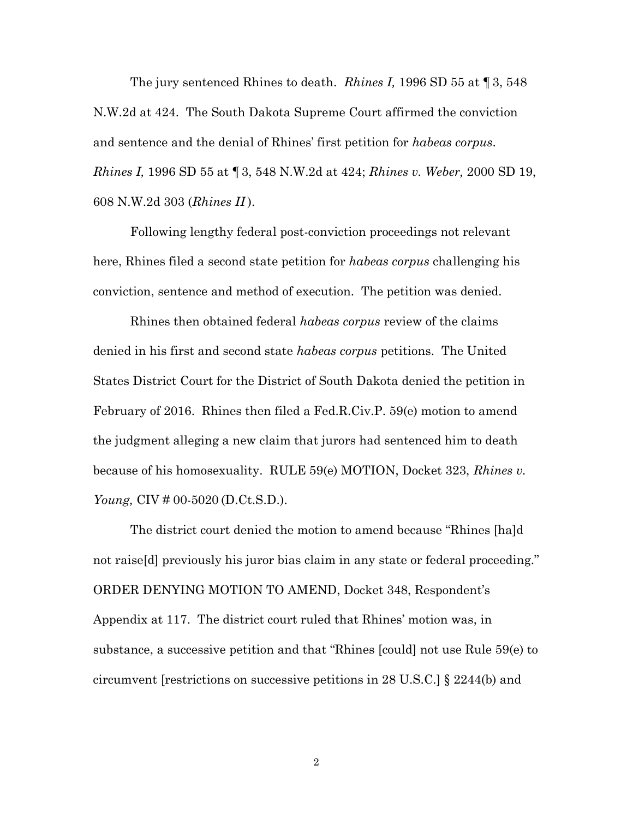The jury sentenced Rhines to death. *Rhines I,* 1996 SD 55 at ¶ 3, 548 N.W.2d at 424. The South Dakota Supreme Court affirmed the conviction and sentence and the denial of Rhines' first petition for *habeas corpus*. *Rhines I,* 1996 SD 55 at ¶3, 548 N.W.2d at 424; *Rhines v. Weber,* 2000 SD 19, 608 N.W.2d 303 (*Rhines II* ).

Following lengthy federal post-conviction proceedings not relevant here, Rhines filed a second state petition for *habeas corpus* challenging his conviction, sentence and method of execution. The petition was denied.

Rhines then obtained federal *habeas corpus* review of the claims denied in his first and second state *habeas corpus* petitions. The United States District Court for the District of South Dakota denied the petition in February of 2016. Rhines then filed a Fed.R.Civ.P. 59(e) motion to amend the judgment alleging a new claim that jurors had sentenced him to death because of his homosexuality. RULE 59(e) MOTION, Docket 323, *Rhines v. Young,* CIV # 00-5020 (D.Ct.S.D.).

The district court denied the motion to amend because "Rhines [ha]d not raise[d] previously his juror bias claim in any state or federal proceeding." ORDER DENYING MOTION TO AMEND, Docket 348, Respondent's Appendix at 117. The district court ruled that Rhines' motion was, in substance, a successive petition and that "Rhines [could] not use Rule 59(e) to circumvent [restrictions on successive petitions in 28 U.S.C.] § 2244(b) and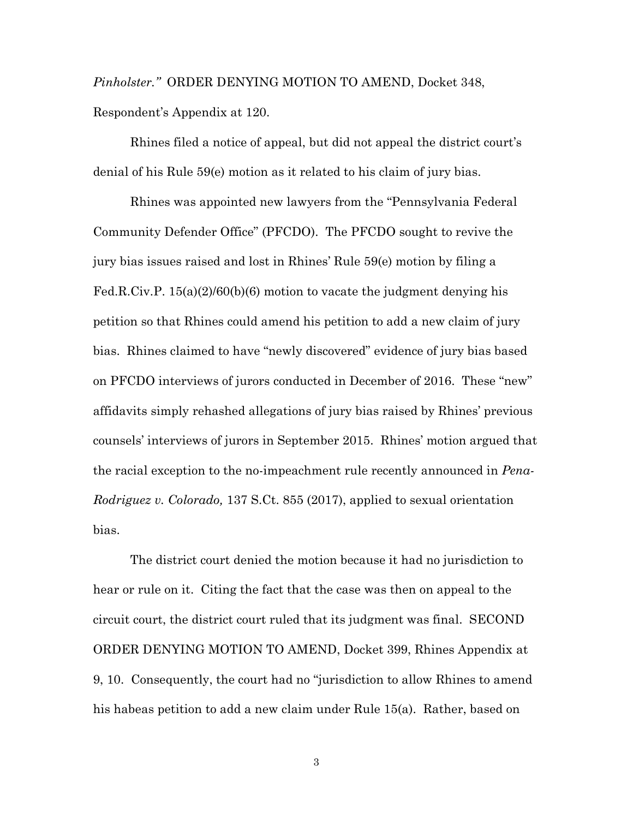*Pinholster."* ORDER DENYING MOTION TO AMEND, Docket 348, Respondent's Appendix at 120.

Rhines filed a notice of appeal, but did not appeal the district court's denial of his Rule 59(e) motion as it related to his claim of jury bias.

Rhines was appointed new lawyers from the "Pennsylvania Federal Community Defender Office" (PFCDO). The PFCDO sought to revive the jury bias issues raised and lost in Rhines' Rule 59(e) motion by filing a Fed.R.Civ.P. 15(a)(2)/60(b)(6) motion to vacate the judgment denying his petition so that Rhines could amend his petition to add a new claim of jury bias. Rhines claimed to have "newly discovered" evidence of jury bias based on PFCDO interviews of jurors conducted in December of 2016. These "new" affidavits simply rehashed allegations of jury bias raised by Rhines' previous counsels' interviews of jurors in September 2015. Rhines' motion argued that the racial exception to the no-impeachment rule recently announced in *Pena-Rodriguez v. Colorado,* 137 S.Ct. 855 (2017), applied to sexual orientation bias.

The district court denied the motion because it had no jurisdiction to hear or rule on it. Citing the fact that the case was then on appeal to the circuit court, the district court ruled that its judgment was final. SECOND ORDER DENYING MOTION TO AMEND, Docket 399, Rhines Appendix at 9, 10. Consequently, the court had no "jurisdiction to allow Rhines to amend his habeas petition to add a new claim under Rule 15(a). Rather, based on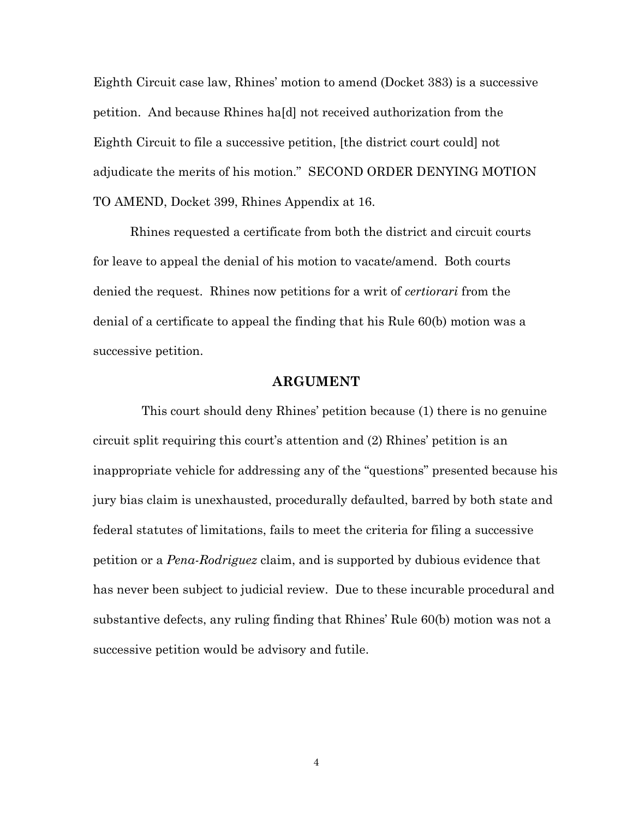Eighth Circuit case law, Rhines' motion to amend (Docket 383) is a successive petition. And because Rhines ha[d] not received authorization from the Eighth Circuit to file a successive petition, [the district court could] not adjudicate the merits of his motion." SECOND ORDER DENYING MOTION TO AMEND, Docket 399, Rhines Appendix at 16.

Rhines requested a certificate from both the district and circuit courts for leave to appeal the denial of his motion to vacate/amend. Both courts denied the request. Rhines now petitions for a writ of *certiorari* from the denial of a certificate to appeal the finding that his Rule 60(b) motion was a successive petition.

#### **ARGUMENT**

 This court should deny Rhines' petition because (1) there is no genuine circuit split requiring this court's attention and (2) Rhines' petition is an inappropriate vehicle for addressing any of the "questions" presented because his jury bias claim is unexhausted, procedurally defaulted, barred by both state and federal statutes of limitations, fails to meet the criteria for filing a successive petition or a *Pena-Rodriguez* claim, and is supported by dubious evidence that has never been subject to judicial review. Due to these incurable procedural and substantive defects, any ruling finding that Rhines' Rule 60(b) motion was not a successive petition would be advisory and futile.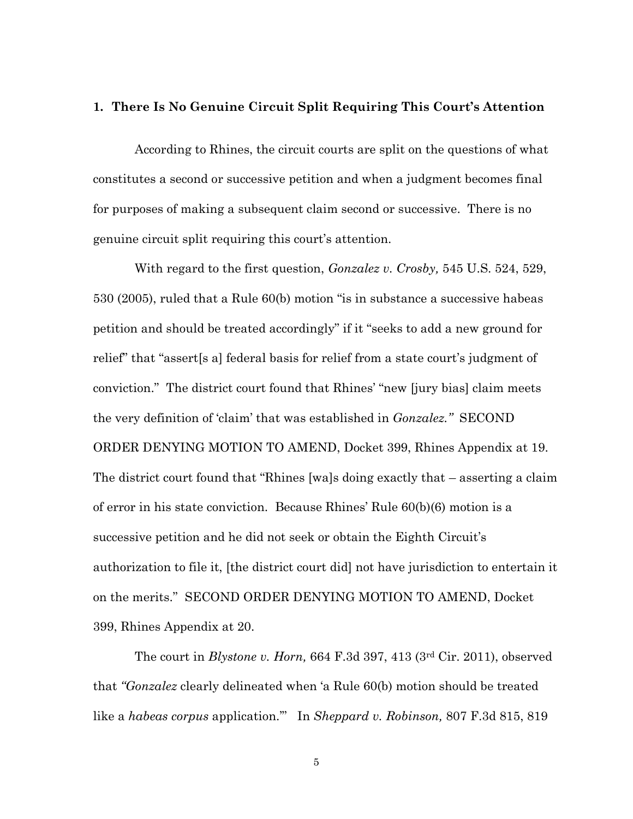#### **1. There Is No Genuine Circuit Split Requiring This Court's Attention**

According to Rhines, the circuit courts are split on the questions of what constitutes a second or successive petition and when a judgment becomes final for purposes of making a subsequent claim second or successive. There is no genuine circuit split requiring this court's attention.

With regard to the first question, *Gonzalez v. Crosby,* 545 U.S. 524, 529, 530 (2005), ruled that a Rule 60(b) motion "is in substance a successive habeas petition and should be treated accordingly" if it "seeks to add a new ground for relief" that "assert[s a] federal basis for relief from a state court's judgment of conviction." The district court found that Rhines' "new [jury bias] claim meets the very definition of 'claim' that was established in *Gonzalez."* SECOND ORDER DENYING MOTION TO AMEND, Docket 399, Rhines Appendix at 19. The district court found that "Rhines [wa]s doing exactly that – asserting a claim of error in his state conviction. Because Rhines' Rule 60(b)(6) motion is a successive petition and he did not seek or obtain the Eighth Circuit's authorization to file it, [the district court did] not have jurisdiction to entertain it on the merits." SECOND ORDER DENYING MOTION TO AMEND, Docket 399, Rhines Appendix at 20.

The court in *Blystone v. Horn,* 664 F.3d 397, 413 (3rd Cir. 2011), observed that *"Gonzalez* clearly delineated when 'a Rule 60(b) motion should be treated like a *habeas corpus* application.'" In *Sheppard v. Robinson,* 807 F.3d 815, 819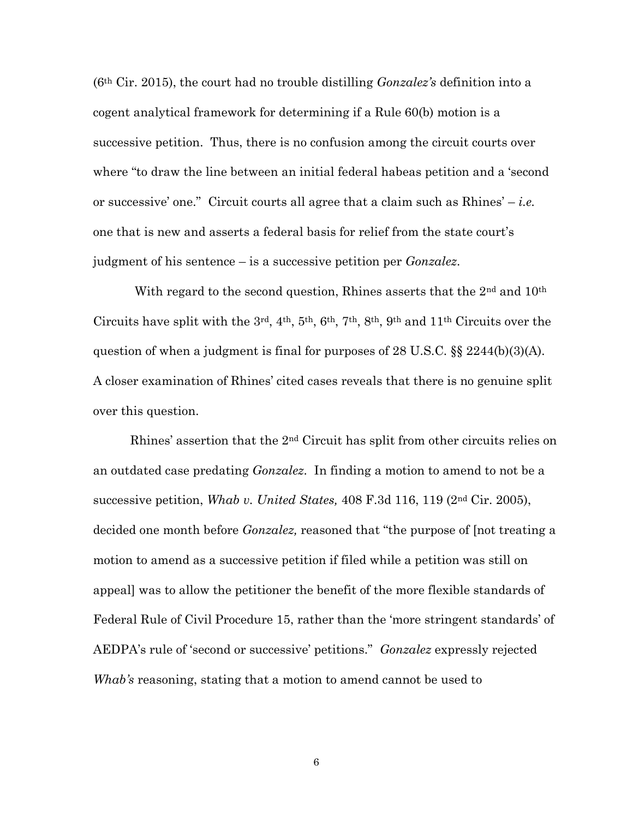(6th Cir. 2015), the court had no trouble distilling *Gonzalez's* definition into a cogent analytical framework for determining if a Rule 60(b) motion is a successive petition. Thus, there is no confusion among the circuit courts over where "to draw the line between an initial federal habeas petition and a 'second or successive' one." Circuit courts all agree that a claim such as Rhines' – *i.e.*  one that is new and asserts a federal basis for relief from the state court's judgment of his sentence – is a successive petition per *Gonzalez*.

With regard to the second question, Rhines asserts that the 2<sup>nd</sup> and 10<sup>th</sup> Circuits have split with the  $3<sup>rd</sup>$ ,  $4<sup>th</sup>$ ,  $5<sup>th</sup>$ ,  $6<sup>th</sup>$ ,  $7<sup>th</sup>$ ,  $8<sup>th</sup>$ ,  $9<sup>th</sup>$  and  $11<sup>th</sup>$  Circuits over the question of when a judgment is final for purposes of 28 U.S.C. §§ 2244(b)(3)(A). A closer examination of Rhines' cited cases reveals that there is no genuine split over this question.

Rhines' assertion that the 2nd Circuit has split from other circuits relies on an outdated case predating *[Gonzalez](https://1.next.westlaw.com/Link/Document/FullText?findType=Y&serNum=2006844940&pubNum=708&originatingDoc=Ie7210bb98fc711de9988d233d23fe599&refType=RP&originationContext=document&transitionType=DocumentItem&contextData=(sc.UserEnteredCitation))*. In finding a motion to amend to not be a successive petition, *Whab v. United States,* 408 F.3d 116, 119 (2nd Cir. 2005), decided one month before *Gonzalez,* reasoned that "the purpose of [not treating a motion to amend as a successive petition if filed while a petition was still on appeal] was to allow the petitioner the benefit of the more flexible standards of Federal Rule of Civil Procedure 15, rather than the 'more stringent standards' of AEDPA's rule of 'second or successive' petitions." *Gonzalez* expressly rejected *Whab's* reasoning, stating that a motion to amend cannot be used to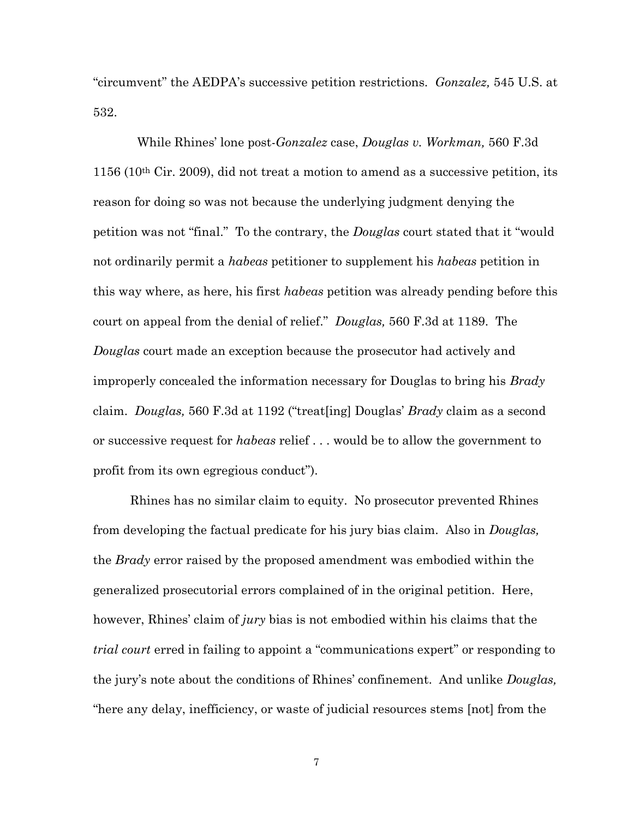"circumvent" the AEDPA's successive petition restrictions. *Gonzalez,* 545 U.S. at 532.

 While Rhines' lone post-*Gonzalez* case, *Douglas v. Workman,* 560 F.3d 1156 (10th Cir. 2009), did not treat a motion to amend as a successive petition, its reason for doing so was not because the underlying judgment denying the petition was not "final." To the contrary, the *Douglas* court stated that it "would not ordinarily permit a *habeas* petitioner to supplement his *habeas* petition in this way where, as here, his first *habeas* petition was already pending before this court on appeal from the denial of relief." *Douglas,* 560 F.3d at 1189. The *Douglas* court made an exception because the prosecutor had actively and improperly concealed the information necessary for Douglas to bring his *Brady* claim. *Douglas,* 560 F.3d at 1192 ("treat[ing] Douglas' *Brady* claim as a second or successive request for *habeas* relief . . . would be to allow the government to profit from its own egregious conduct").

Rhines has no similar claim to equity. No prosecutor prevented Rhines from developing the factual predicate for his jury bias claim. Also in *Douglas,* the *Brady* error raised by the proposed amendment was embodied within the generalized prosecutorial errors complained of in the original petition. Here, however, Rhines' claim of *jury* bias is not embodied within his claims that the *trial court* erred in failing to appoint a "communications expert" or responding to the jury's note about the conditions of Rhines' confinement. And unlike *Douglas,* "here any delay, inefficiency, or waste of judicial resources stems [not] from the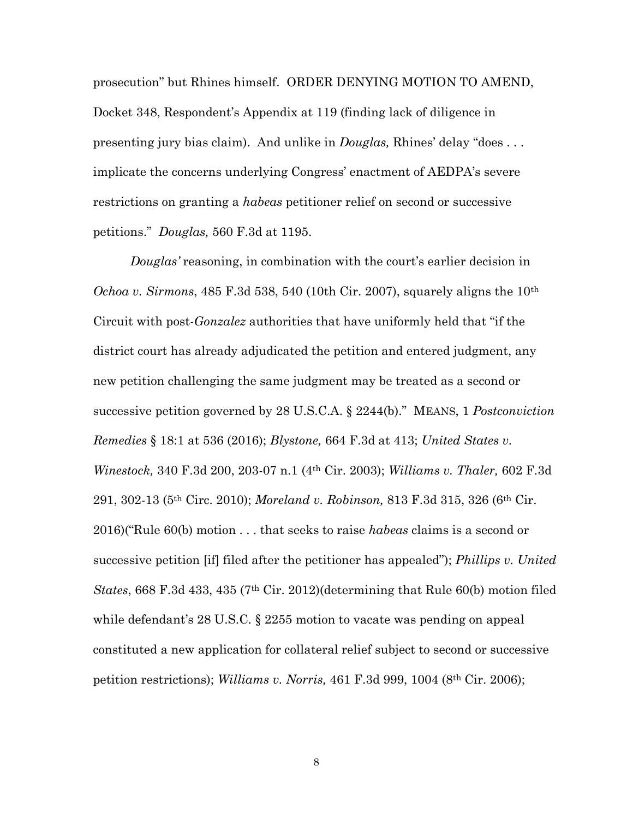prosecution" but Rhines himself. ORDER DENYING MOTION TO AMEND, Docket 348, Respondent's Appendix at 119 (finding lack of diligence in presenting jury bias claim). And unlike in *Douglas,* Rhines' delay "does . . . implicate the concerns underlying Congress' enactment of AEDPA's severe restrictions on granting a *habeas* petitioner relief on second or successive petitions." *Douglas,* 560 F.3d at 1195.

*Douglas'* reasoning, in combination with the court's earlier decision in *Ochoa v. Sirmons*, 485 F.3d 538, 540 (10th Cir. 2007), squarely aligns the 10th Circuit with post-*Gonzalez* authorities that have uniformly held that "if the district court has already adjudicated the petition and entered judgment, any new petition challenging the same judgment may be treated as a second or successive petition governed by 28 U.S.C.A. § 2244(b)." MEANS, 1 *Postconviction Remedies* § 18:1 at 536 (2016); *Blystone,* 664 F.3d at 413; *United States v. Winestock,* 340 F.3d 200, 203-07 n.1 (4th Cir. 2003); *Williams v. Thaler,* 602 F.3d 291, 302-13 (5th Circ. 2010); *Moreland v. Robinson,* 813 F.3d 315, 326 (6th Cir. 2016)("Rule 60(b) motion . . . that seeks to raise *habeas* claims is a second or successive petition [if] filed after the petitioner has appealed"); *Phillips v. United States*, 668 F.3d 433, 435 (7th Cir. 2012)(determining that Rule 60(b) motion filed while defendant's 28 U.S.C. § 2255 motion to vacate was pending on appeal constituted a new application for collateral relief subject to second or successive petition restrictions); *Williams v. Norris,* 461 F.3d 999, 1004 (8th Cir. 2006);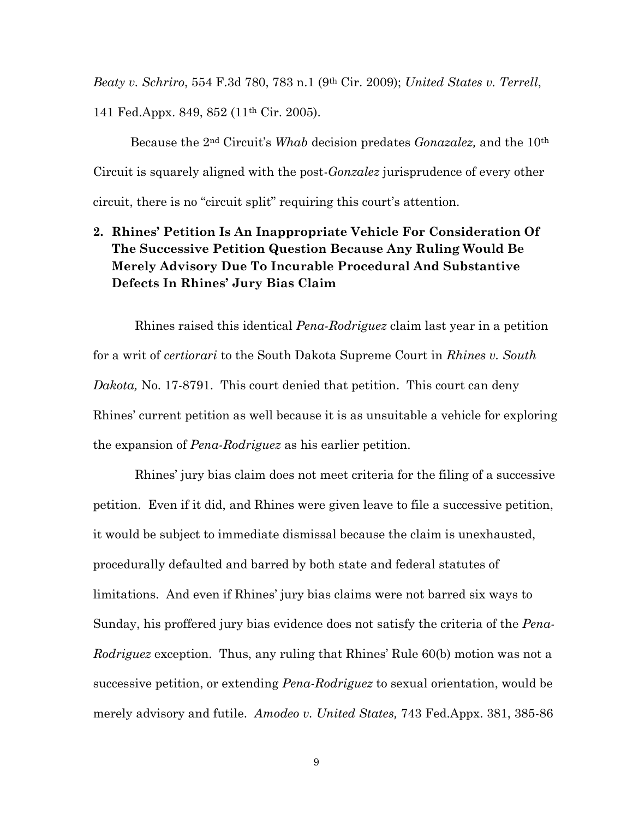*Beaty v. Schriro*, 554 F.3d 780, 783 n.1 (9th Cir. 2009); *United States v. Terrell*, 141 Fed.Appx. 849, 852 (11th Cir. 2005).

Because the 2nd Circuit's *Whab* decision predates *Gonazalez,* and the 10th Circuit is squarely aligned with the post-*Gonzalez* jurisprudence of every other circuit, there is no "circuit split" requiring this court's attention.

## **2. Rhines' Petition Is An Inappropriate Vehicle For Consideration Of The Successive Petition Question Because Any Ruling Would Be Merely Advisory Due To Incurable Procedural And Substantive Defects In Rhines' Jury Bias Claim**

Rhines raised this identical *Pena-Rodriguez* claim last year in a petition for a writ of *certiorari* to the South Dakota Supreme Court in *Rhines v. South Dakota,* No. 17-8791. This court denied that petition. This court can deny Rhines' current petition as well because it is as unsuitable a vehicle for exploring the expansion of *Pena-Rodriguez* as his earlier petition.

Rhines' jury bias claim does not meet criteria for the filing of a successive petition. Even if it did, and Rhines were given leave to file a successive petition, it would be subject to immediate dismissal because the claim is unexhausted, procedurally defaulted and barred by both state and federal statutes of limitations. And even if Rhines' jury bias claims were not barred six ways to Sunday, his proffered jury bias evidence does not satisfy the criteria of the *Pena-Rodriguez* exception. Thus, any ruling that Rhines' Rule 60(b) motion was not a successive petition, or extending *Pena-Rodriguez* to sexual orientation, would be merely advisory and futile. *Amodeo v. United States,* 743 Fed.Appx. 381, 385-86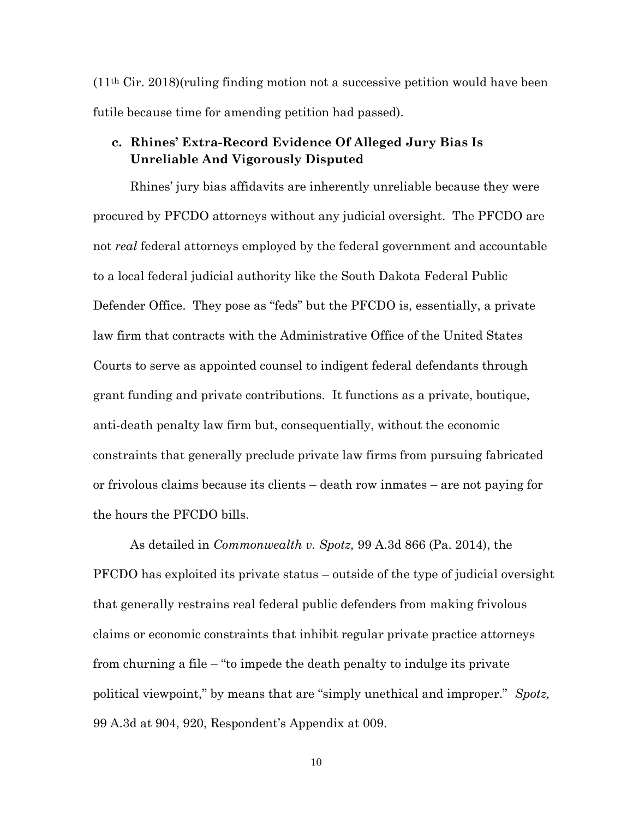$(11<sup>th</sup> Cir. 2018)(ruling finding motion not a successive petition would have been$ futile because time for amending petition had passed).

### **c. Rhines' Extra-Record Evidence Of Alleged Jury Bias Is Unreliable And Vigorously Disputed**

Rhines' jury bias affidavits are inherently unreliable because they were procured by PFCDO attorneys without any judicial oversight. The PFCDO are not *real* federal attorneys employed by the federal government and accountable to a local federal judicial authority like the South Dakota Federal Public Defender Office. They pose as "feds" but the PFCDO is, essentially, a private law firm that contracts with the Administrative Office of the United States Courts to serve as appointed counsel to indigent federal defendants through grant funding and private contributions. It functions as a private, boutique, anti-death penalty law firm but, consequentially, without the economic constraints that generally preclude private law firms from pursuing fabricated or frivolous claims because its clients – death row inmates – are not paying for the hours the PFCDO bills.

As detailed in *Commonwealth v. Spotz,* 99 A.3d 866 (Pa. 2014), the PFCDO has exploited its private status – outside of the type of judicial oversight that generally restrains real federal public defenders from making frivolous claims or economic constraints that inhibit regular private practice attorneys from churning a file – "to impede the death penalty to indulge its private political viewpoint," by means that are "simply unethical and improper." *Spotz,* 99 A.3d at 904, 920, Respondent's Appendix at 009.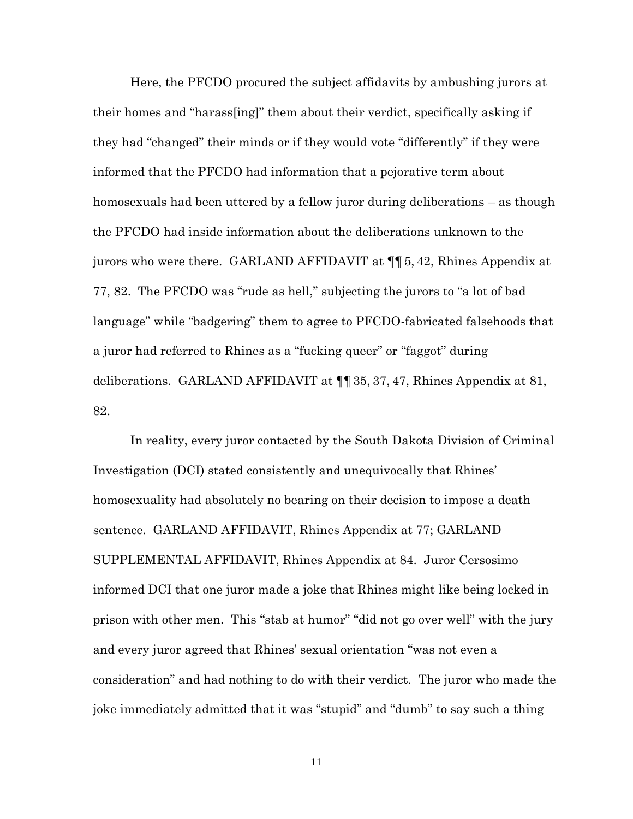Here, the PFCDO procured the subject affidavits by ambushing jurors at their homes and "harass[ing]" them about their verdict, specifically asking if they had "changed" their minds or if they would vote "differently" if they were informed that the PFCDO had information that a pejorative term about homosexuals had been uttered by a fellow juror during deliberations – as though the PFCDO had inside information about the deliberations unknown to the jurors who were there. GARLAND AFFIDAVIT at ¶¶ 5, 42, Rhines Appendix at 77, 82. The PFCDO was "rude as hell," subjecting the jurors to "a lot of bad language" while "badgering" them to agree to PFCDO-fabricated falsehoods that a juror had referred to Rhines as a "fucking queer" or "faggot" during deliberations. GARLAND AFFIDAVIT at ¶¶ 35, 37, 47, Rhines Appendix at 81, 82.

In reality, every juror contacted by the South Dakota Division of Criminal Investigation (DCI) stated consistently and unequivocally that Rhines' homosexuality had absolutely no bearing on their decision to impose a death sentence. GARLAND AFFIDAVIT, Rhines Appendix at 77; GARLAND SUPPLEMENTAL AFFIDAVIT, Rhines Appendix at 84. Juror Cersosimo informed DCI that one juror made a joke that Rhines might like being locked in prison with other men. This "stab at humor" "did not go over well" with the jury and every juror agreed that Rhines' sexual orientation "was not even a consideration" and had nothing to do with their verdict. The juror who made the joke immediately admitted that it was "stupid" and "dumb" to say such a thing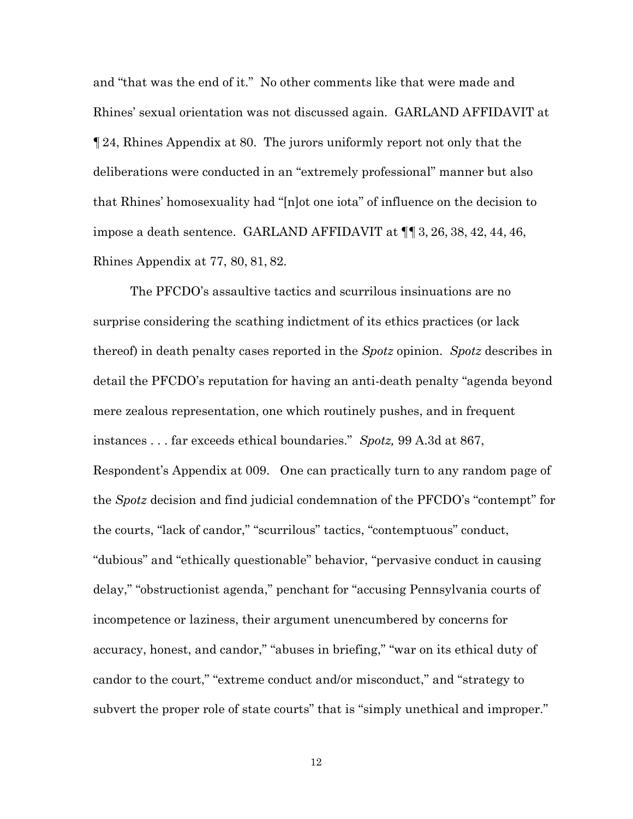and "that was the end of it." No other comments like that were made and Rhines' sexual orientation was not discussed again. GARLAND AFFIDAVIT at ¶24, Rhines Appendix at 80. The jurors uniformly report not only that the deliberations were conducted in an "extremely professional" manner but also that Rhines' homosexuality had "[n]ot one iota" of influence on the decision to impose a death sentence. GARLAND AFFIDAVIT at ¶¶3, 26, 38, 42, 44, 46, Rhines Appendix at 77, 80, 81, 82.

The PFCDO's assaultive tactics and scurrilous insinuations are no surprise considering the scathing indictment of its ethics practices (or lack thereof) in death penalty cases reported in the *Spotz* opinion. *Spotz* describes in detail the PFCDO's reputation for having an anti-death penalty "agenda beyond mere zealous representation, one which routinely pushes, and in frequent instances . . . far exceeds ethical boundaries." *Spotz,* 99 A.3d at 867, Respondent's Appendix at 009. One can practically turn to any random page of the *Spotz* decision and find judicial condemnation of the PFCDO's "contempt" for the courts, "lack of candor," "scurrilous" tactics, "contemptuous" conduct, "dubious" and "ethically questionable" behavior, "pervasive conduct in causing delay," "obstructionist agenda," penchant for "accusing Pennsylvania courts of incompetence or laziness, their argument unencumbered by concerns for accuracy, honest, and candor," "abuses in briefing," "war on its ethical duty of candor to the court," "extreme conduct and/or misconduct," and "strategy to subvert the proper role of state courts" that is "simply unethical and improper."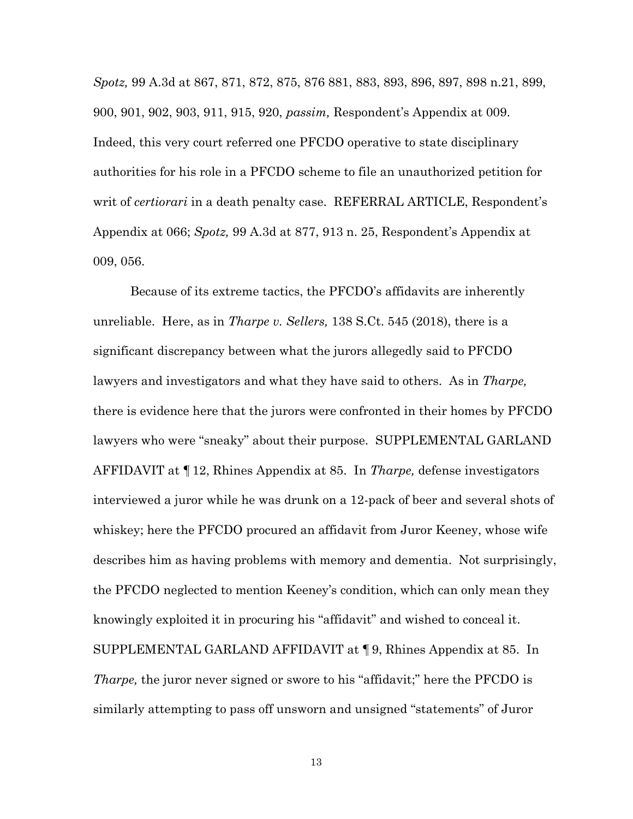*Spotz,* 99 A.3d at 867, 871, 872, 875, 876 881, 883, 893, 896, 897, 898 n.21, 899, 900, 901, 902, 903, 911, 915, 920, *passim,* Respondent's Appendix at 009. Indeed, this very court referred one PFCDO operative to state disciplinary authorities for his role in a PFCDO scheme to file an unauthorized petition for writ of *certiorari* in a death penalty case. REFERRAL ARTICLE, Respondent's Appendix at 066; *Spotz,* 99 A.3d at 877, 913 n. 25, Respondent's Appendix at 009, 056.

Because of its extreme tactics, the PFCDO's affidavits are inherently unreliable. Here, as in *Tharpe v. Sellers,* 138 S.Ct. 545 (2018), there is a significant discrepancy between what the jurors allegedly said to PFCDO lawyers and investigators and what they have said to others. As in *Tharpe,* there is evidence here that the jurors were confronted in their homes by PFCDO lawyers who were "sneaky" about their purpose. SUPPLEMENTAL GARLAND AFFIDAVIT at ¶12, Rhines Appendix at 85. In *Tharpe,* defense investigators interviewed a juror while he was drunk on a 12-pack of beer and several shots of whiskey; here the PFCDO procured an affidavit from Juror Keeney, whose wife describes him as having problems with memory and dementia. Not surprisingly, the PFCDO neglected to mention Keeney's condition, which can only mean they knowingly exploited it in procuring his "affidavit" and wished to conceal it. SUPPLEMENTAL GARLAND AFFIDAVIT at ¶ 9, Rhines Appendix at 85. In *Tharpe,* the juror never signed or swore to his "affidavit;" here the PFCDO is similarly attempting to pass off unsworn and unsigned "statements" of Juror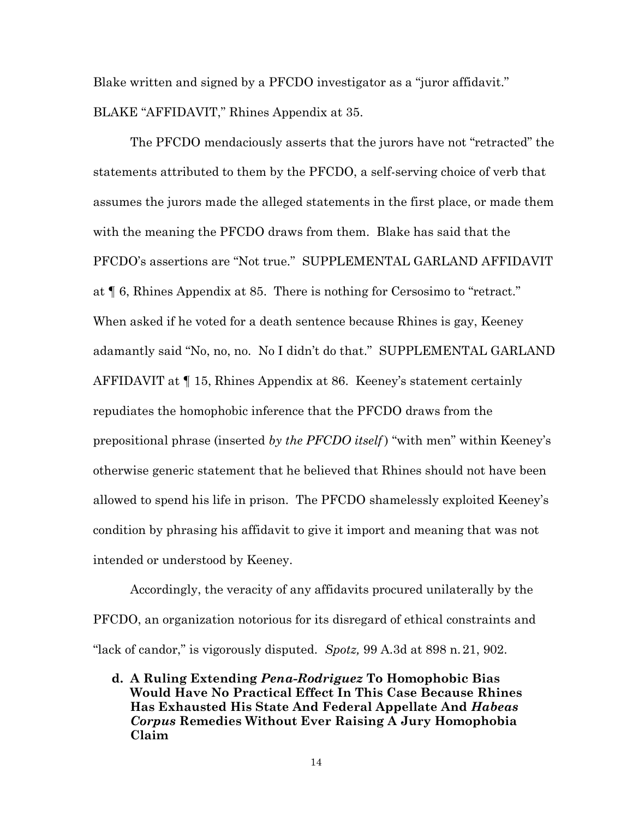Blake written and signed by a PFCDO investigator as a "juror affidavit." BLAKE "AFFIDAVIT," Rhines Appendix at 35.

The PFCDO mendaciously asserts that the jurors have not "retracted" the statements attributed to them by the PFCDO, a self-serving choice of verb that assumes the jurors made the alleged statements in the first place, or made them with the meaning the PFCDO draws from them. Blake has said that the PFCDO's assertions are "Not true." SUPPLEMENTAL GARLAND AFFIDAVIT at ¶ 6, Rhines Appendix at 85. There is nothing for Cersosimo to "retract." When asked if he voted for a death sentence because Rhines is gay, Keeney adamantly said "No, no, no. No I didn't do that." SUPPLEMENTAL GARLAND AFFIDAVIT at ¶ 15, Rhines Appendix at 86. Keeney's statement certainly repudiates the homophobic inference that the PFCDO draws from the prepositional phrase (inserted *by the PFCDO itself* ) "with men" within Keeney's otherwise generic statement that he believed that Rhines should not have been allowed to spend his life in prison. The PFCDO shamelessly exploited Keeney's condition by phrasing his affidavit to give it import and meaning that was not intended or understood by Keeney.

Accordingly, the veracity of any affidavits procured unilaterally by the PFCDO, an organization notorious for its disregard of ethical constraints and "lack of candor," is vigorously disputed. *Spotz,* 99 A.3d at 898 n.21, 902.

**d. A Ruling Extending** *Pena-Rodriguez* **To Homophobic Bias Would Have No Practical Effect In This Case Because Rhines Has Exhausted His State And Federal Appellate And** *Habeas Corpus* **Remedies Without Ever Raising A Jury Homophobia Claim**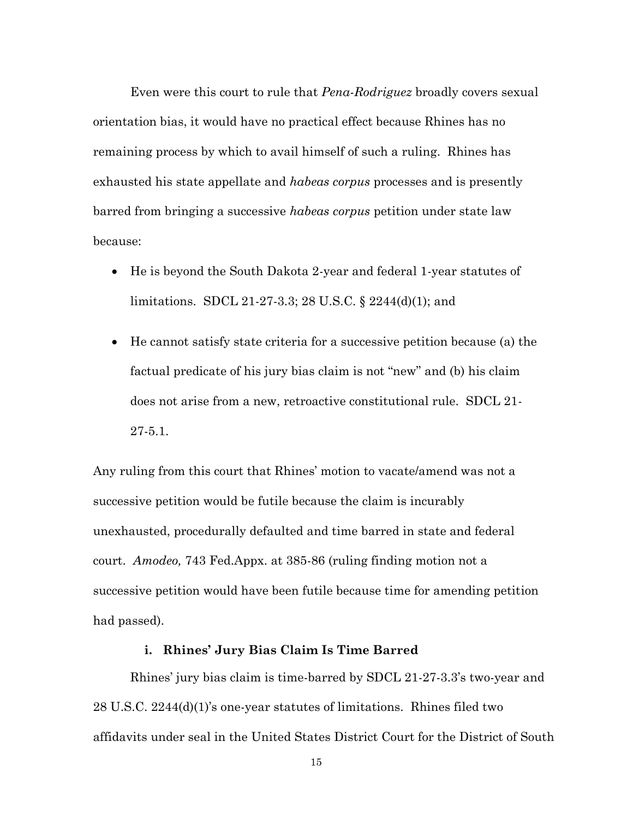Even were this court to rule that *Pena-Rodriguez* broadly covers sexual orientation bias, it would have no practical effect because Rhines has no remaining process by which to avail himself of such a ruling. Rhines has exhausted his state appellate and *habeas corpus* processes and is presently barred from bringing a successive *habeas corpus* petition under state law because:

- He is beyond the South Dakota 2-year and federal 1-year statutes of limitations. SDCL 21-27-3.3; 28 U.S.C. § 2244(d)(1); and
- He cannot satisfy state criteria for a successive petition because (a) the factual predicate of his jury bias claim is not "new" and (b) his claim does not arise from a new, retroactive constitutional rule. SDCL 21- 27-5.1.

Any ruling from this court that Rhines' motion to vacate/amend was not a successive petition would be futile because the claim is incurably unexhausted, procedurally defaulted and time barred in state and federal court. *Amodeo,* 743 Fed.Appx. at 385-86 (ruling finding motion not a successive petition would have been futile because time for amending petition had passed).

### **i. Rhines' Jury Bias Claim Is Time Barred**

Rhines' jury bias claim is time-barred by SDCL 21-27-3.3's two-year and 28 U.S.C. 2244(d)(1)'s one-year statutes of limitations. Rhines filed two affidavits under seal in the United States District Court for the District of South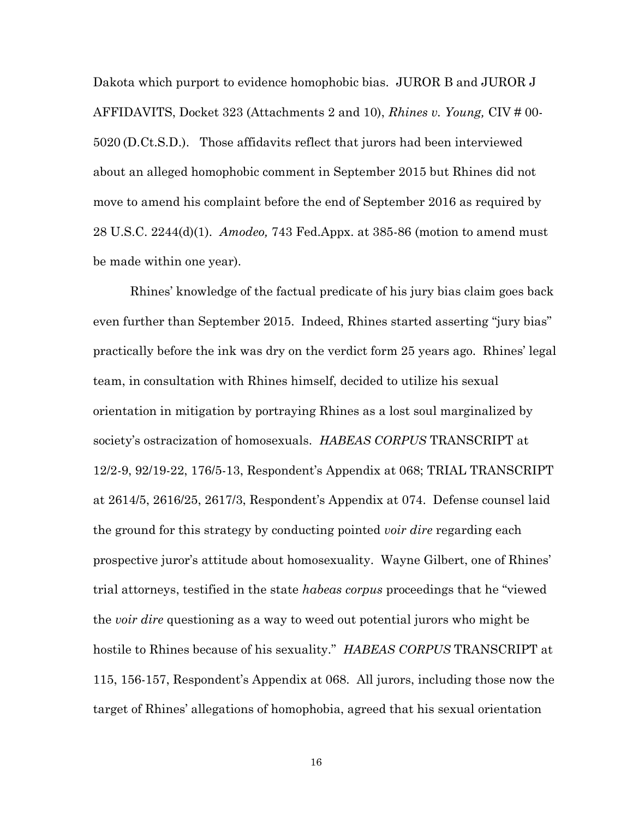Dakota which purport to evidence homophobic bias. JUROR B and JUROR J AFFIDAVITS, Docket 323 (Attachments 2 and 10), *Rhines v. Young,* CIV # 00- 5020 (D.Ct.S.D.). Those affidavits reflect that jurors had been interviewed about an alleged homophobic comment in September 2015 but Rhines did not move to amend his complaint before the end of September 2016 as required by 28 U.S.C. 2244(d)(1). *Amodeo,* 743 Fed.Appx. at 385-86 (motion to amend must be made within one year).

Rhines' knowledge of the factual predicate of his jury bias claim goes back even further than September 2015. Indeed, Rhines started asserting "jury bias" practically before the ink was dry on the verdict form 25 years ago. Rhines' legal team, in consultation with Rhines himself, decided to utilize his sexual orientation in mitigation by portraying Rhines as a lost soul marginalized by society's ostracization of homosexuals. *HABEAS CORPUS* TRANSCRIPT at 12/2-9, 92/19-22, 176/5-13, Respondent's Appendix at 068; TRIAL TRANSCRIPT at 2614/5, 2616/25, 2617/3, Respondent's Appendix at 074. Defense counsel laid the ground for this strategy by conducting pointed *voir dire* regarding each prospective juror's attitude about homosexuality. Wayne Gilbert, one of Rhines' trial attorneys, testified in the state *habeas corpus* proceedings that he "viewed the *voir dire* questioning as a way to weed out potential jurors who might be hostile to Rhines because of his sexuality." *HABEAS CORPUS* TRANSCRIPT at 115, 156-157, Respondent's Appendix at 068. All jurors, including those now the target of Rhines' allegations of homophobia, agreed that his sexual orientation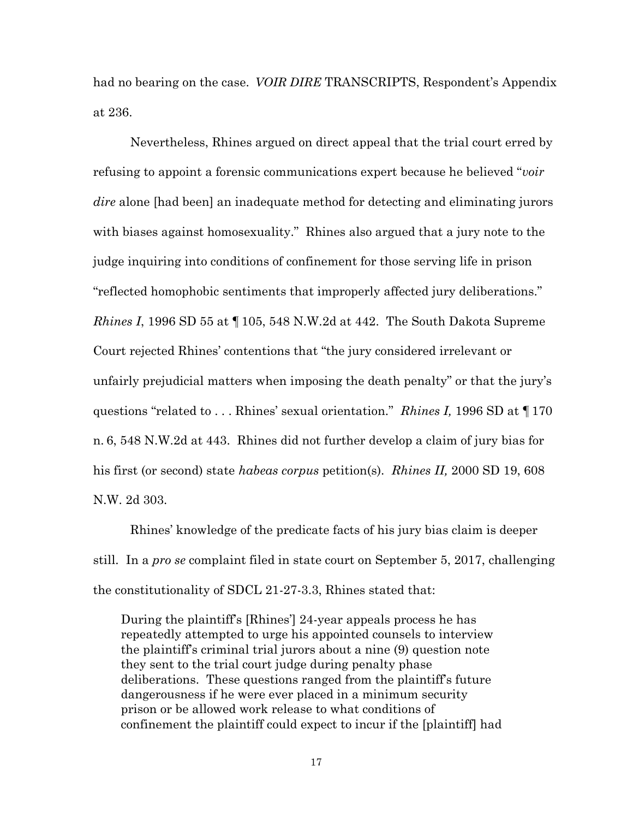had no bearing on the case. *VOIR DIRE* TRANSCRIPTS, Respondent's Appendix at 236.

Nevertheless, Rhines argued on direct appeal that the trial court erred by refusing to appoint a forensic communications expert because he believed "*voir dire* alone [had been] an inadequate method for detecting and eliminating jurors with biases against homosexuality." Rhines also argued that a jury note to the judge inquiring into conditions of confinement for those serving life in prison "reflected homophobic sentiments that improperly affected jury deliberations." *Rhines I*, 1996 SD 55 at ¶105, 548 N.W.2d at 442. The South Dakota Supreme Court rejected Rhines' contentions that "the jury considered irrelevant or unfairly prejudicial matters when imposing the death penalty" or that the jury's questions "related to . . . Rhines' sexual orientation." *Rhines I,* 1996 SD at ¶170 n. 6, 548 N.W.2d at 443. Rhines did not further develop a claim of jury bias for his first (or second) state *habeas corpus* petition(s). *Rhines II,* 2000 SD 19, 608 N.W. 2d 303.

Rhines' knowledge of the predicate facts of his jury bias claim is deeper still.In a *pro se* complaint filed in state court on September 5, 2017, challenging the constitutionality of SDCL 21-27-3.3, Rhines stated that:

During the plaintiff's [Rhines'] 24-year appeals process he has repeatedly attempted to urge his appointed counsels to interview the plaintiff's criminal trial jurors about a nine (9) question note they sent to the trial court judge during penalty phase deliberations. These questions ranged from the plaintiff's future dangerousness if he were ever placed in a minimum security prison or be allowed work release to what conditions of confinement the plaintiff could expect to incur if the [plaintiff] had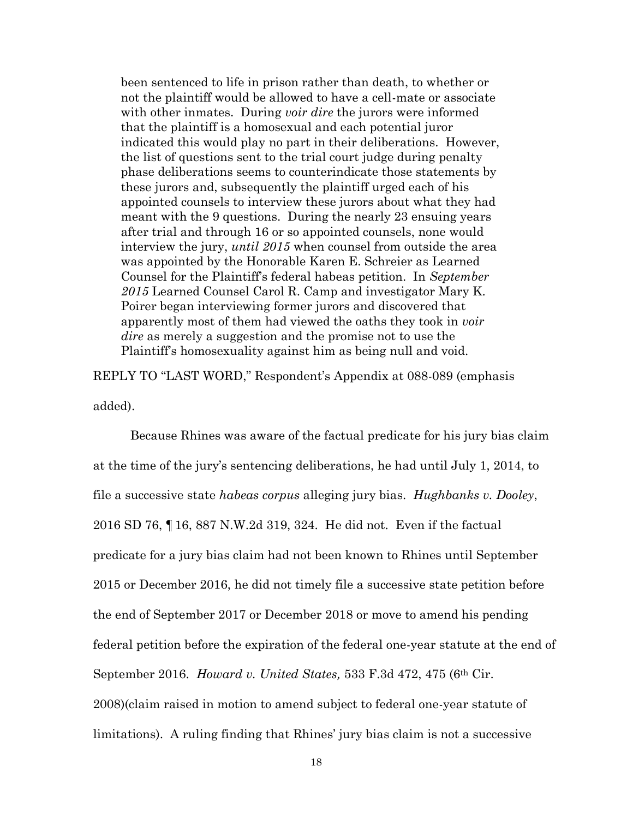been sentenced to life in prison rather than death, to whether or not the plaintiff would be allowed to have a cell-mate or associate with other inmates. During *voir dire* the jurors were informed that the plaintiff is a homosexual and each potential juror indicated this would play no part in their deliberations. However, the list of questions sent to the trial court judge during penalty phase deliberations seems to counterindicate those statements by these jurors and, subsequently the plaintiff urged each of his appointed counsels to interview these jurors about what they had meant with the 9 questions. During the nearly 23 ensuing years after trial and through 16 or so appointed counsels, none would interview the jury, *until 2015* when counsel from outside the area was appointed by the Honorable Karen E. Schreier as Learned Counsel for the Plaintiff's federal habeas petition. In *September 2015* Learned Counsel Carol R. Camp and investigator Mary K. Poirer began interviewing former jurors and discovered that apparently most of them had viewed the oaths they took in *voir dire* as merely a suggestion and the promise not to use the Plaintiff's homosexuality against him as being null and void.

REPLY TO "LAST WORD," Respondent's Appendix at 088-089 (emphasis added).

Because Rhines was aware of the factual predicate for his jury bias claim at the time of the jury's sentencing deliberations, he had until July 1, 2014, to file a successive state *habeas corpus* alleging jury bias. *Hughbanks v. Dooley*, 2016 SD 76, ¶16, 887 N.W.2d 319, 324. He did not. Even if the factual predicate for a jury bias claim had not been known to Rhines until September 2015 or December 2016, he did not timely file a successive state petition before the end of September 2017 or December 2018 or move to amend his pending federal petition before the expiration of the federal one-year statute at the end of September 2016. *Howard v. United States,* 533 F.3d 472, 475 (6th Cir. 2008)(claim raised in motion to amend subject to federal one-year statute of limitations). A ruling finding that Rhines' jury bias claim is not a successive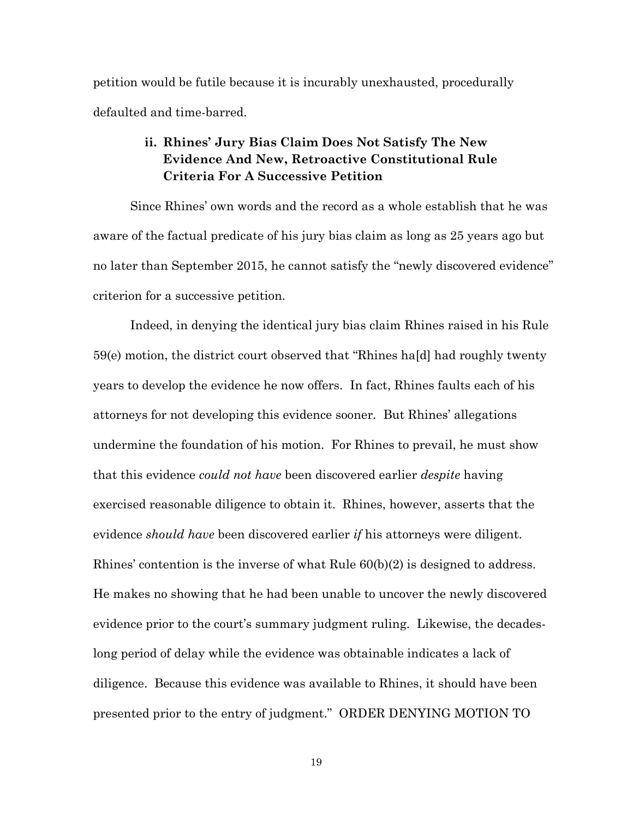petition would be futile because it is incurably unexhausted, procedurally defaulted and time-barred.

## **ii. Rhines' Jury Bias Claim Does Not Satisfy The New Evidence And New, Retroactive Constitutional Rule Criteria For A Successive Petition**

Since Rhines' own words and the record as a whole establish that he was aware of the factual predicate of his jury bias claim as long as 25 years ago but no later than September 2015, he cannot satisfy the "newly discovered evidence" criterion for a successive petition.

Indeed, in denying the identical jury bias claim Rhines raised in his Rule 59(e) motion, the district court observed that "Rhines ha[d] had roughly twenty years to develop the evidence he now offers. In fact, Rhines faults each of his attorneys for not developing this evidence sooner. But Rhines' allegations undermine the foundation of his motion. For Rhines to prevail, he must show that this evidence *could not have* been discovered earlier *despite* having exercised reasonable diligence to obtain it. Rhines, however, asserts that the evidence *should have* been discovered earlier *if* his attorneys were diligent. Rhines' contention is the inverse of what Rule 60(b)(2) is designed to address. He makes no showing that he had been unable to uncover the newly discovered evidence prior to the court's summary judgment ruling. Likewise, the decadeslong period of delay while the evidence was obtainable indicates a lack of diligence. Because this evidence was available to Rhines, it should have been presented prior to the entry of judgment." ORDER DENYING MOTION TO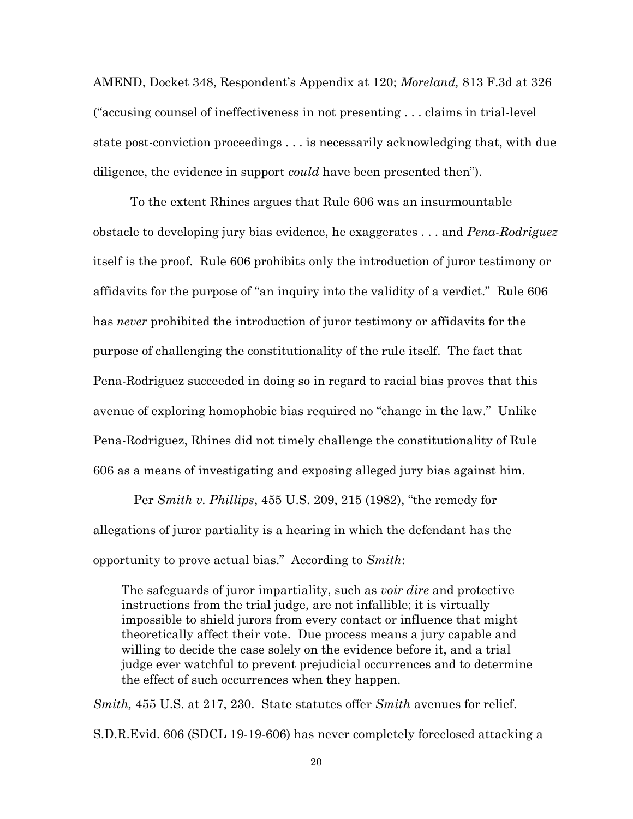AMEND, Docket 348, Respondent's Appendix at 120; *Moreland,* 813 F.3d at 326 ("accusing counsel of ineffectiveness in not presenting . . . claims in trial-level state post-conviction proceedings . . . is necessarily acknowledging that, with due diligence, the evidence in support *could* have been presented then").

To the extent Rhines argues that Rule 606 was an insurmountable obstacle to developing jury bias evidence, he exaggerates . . . and *Pena-Rodriguez*  itself is the proof. Rule 606 prohibits only the introduction of juror testimony or affidavits for the purpose of "an inquiry into the validity of a verdict." Rule 606 has *never* prohibited the introduction of juror testimony or affidavits for the purpose of challenging the constitutionality of the rule itself. The fact that Pena-Rodriguez succeeded in doing so in regard to racial bias proves that this avenue of exploring homophobic bias required no "change in the law." Unlike Pena-Rodriguez, Rhines did not timely challenge the constitutionality of Rule 606 as a means of investigating and exposing alleged jury bias against him.

Per *Smith v. Phillips*, 455 U.S. 209, 215 (1982), "the remedy for allegations of juror partiality is a hearing in which the defendant has the opportunity to prove actual bias." According to *Smith*:

The safeguards of juror impartiality, such as *voir dire* and protective instructions from the trial judge, are not infallible; it is virtually impossible to shield jurors from every contact or influence that might theoretically affect their vote. Due process means a jury capable and willing to decide the case solely on the evidence before it, and a trial judge ever watchful to prevent prejudicial occurrences and to determine the effect of such occurrences when they happen.

*Smith,* 455 U.S. at 217, 230. State statutes offer *Smith* avenues for relief. S.D.R.Evid. 606 (SDCL 19-19-606) has never completely foreclosed attacking a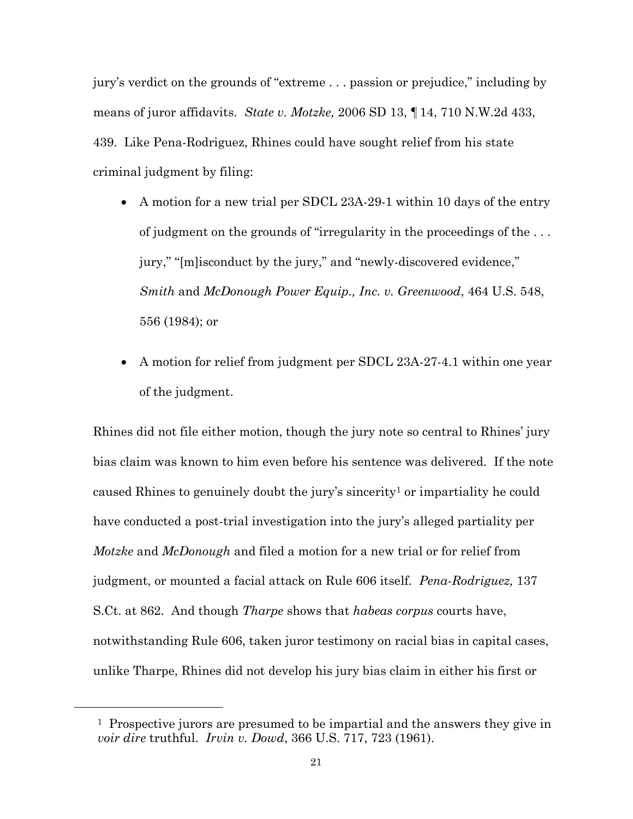jury's verdict on the grounds of "extreme . . . passion or prejudice," including by means of juror affidavits. *State v. Motzke,* 2006 SD 13, ¶14, 710 N.W.2d 433, 439. Like Pena-Rodriguez, Rhines could have sought relief from his state criminal judgment by filing:

- A motion for a new trial per SDCL 23A-29-1 within 10 days of the entry of judgment on the grounds of "irregularity in the proceedings of the . . . jury," "[m]isconduct by the jury," and "newly-discovered evidence," *Smith* and *McDonough Power Equip., Inc. v. Greenwood*, 464 U.S. 548, 556 (1984); or
- A motion for relief from judgment per SDCL 23A-27-4.1 within one year of the judgment.

Rhines did not file either motion, though the jury note so central to Rhines' jury bias claim was known to him even before his sentence was delivered. If the note caused Rhines to genuinely doubt the jury's sincerity<sup>1</sup> or impartiality he could have conducted a post-trial investigation into the jury's alleged partiality per *Motzke* and *McDonough* and filed a motion for a new trial or for relief from judgment, or mounted a facial attack on Rule 606 itself*. Pena-Rodriguez,* 137 S.Ct. at 862. And though *Tharpe* shows that *habeas corpus* courts have, notwithstanding Rule 606, taken juror testimony on racial bias in capital cases, unlike Tharpe, Rhines did not develop his jury bias claim in either his first or

<u>.</u>

<sup>&</sup>lt;sup>1</sup> Prospective jurors are presumed to be impartial and the answers they give in *voir dire* truthful. *Irvin v. Dowd*, 366 U.S. 717, 723 (1961).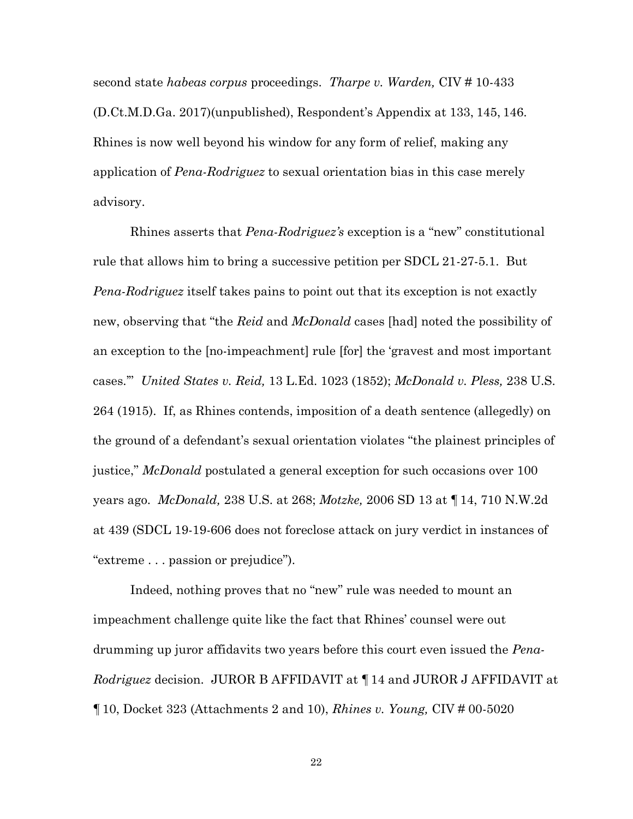second state *habeas corpus* proceedings. *Tharpe v. Warden,* CIV # 10-433 (D.Ct.M.D.Ga. 2017)(unpublished), Respondent's Appendix at 133, 145, 146. Rhines is now well beyond his window for any form of relief, making any application of *Pena-Rodriguez* to sexual orientation bias in this case merely advisory.

Rhines asserts that *Pena-Rodriguez's* exception is a "new" constitutional rule that allows him to bring a successive petition per SDCL 21-27-5.1. But *Pena-Rodriguez* itself takes pains to point out that its exception is not exactly new, observing that "the *Reid* and *McDonald* cases [had] noted the possibility of an exception to the [no-impeachment] rule [for] the 'gravest and most important cases.'" *United States v. Reid,* 13 L.Ed. 1023 (1852); *McDonald v. Pless,* 238 U.S. 264 (1915). If, as Rhines contends, imposition of a death sentence (allegedly) on the ground of a defendant's sexual orientation violates "the plainest principles of justice," *McDonald* postulated a general exception for such occasions over 100 years ago. *McDonald,* 238 U.S. at 268; *Motzke,* 2006 SD 13 at ¶14, 710 N.W.2d at 439 (SDCL 19-19-606 does not foreclose attack on jury verdict in instances of "extreme . . . passion or prejudice").

Indeed, nothing proves that no "new" rule was needed to mount an impeachment challenge quite like the fact that Rhines' counsel were out drumming up juror affidavits two years before this court even issued the *Pena-Rodriguez* decision. JUROR B AFFIDAVIT at ¶14 and JUROR J AFFIDAVIT at ¶10, Docket 323 (Attachments 2 and 10), *Rhines v. Young,* CIV # 00-5020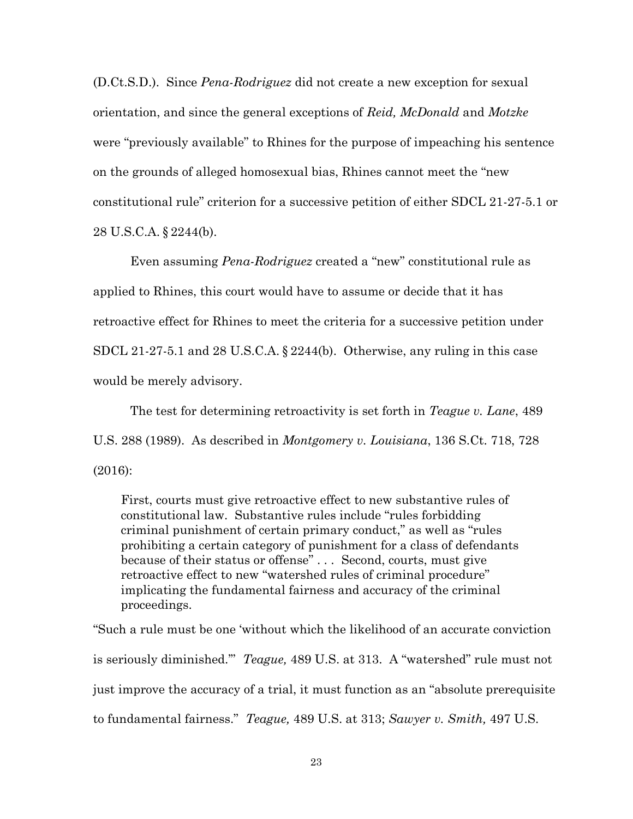(D.Ct.S.D.). Since *Pena-Rodriguez* did not create a new exception for sexual orientation, and since the general exceptions of *Reid, McDonald* and *Motzke* were "previously available" to Rhines for the purpose of impeaching his sentence on the grounds of alleged homosexual bias, Rhines cannot meet the "new constitutional rule" criterion for a successive petition of either SDCL 21-27-5.1 or 28 U.S.C.A. § 2244(b).

Even assuming *Pena-Rodriguez* created a "new" constitutional rule as applied to Rhines, this court would have to assume or decide that it has retroactive effect for Rhines to meet the criteria for a successive petition under SDCL 21-27-5.1 and 28 U.S.C.A. § 2244(b). Otherwise, any ruling in this case would be merely advisory.

The test for determining retroactivity is set forth in *Teague v. Lane*, 489 U.S. 288 (1989). As described in *Montgomery v. Louisiana*, 136 S.Ct. 718, 728 (2016):

First, courts must give retroactive effect to new substantive rules of constitutional law. Substantive rules include "rules forbidding criminal punishment of certain primary conduct," as well as "rules prohibiting a certain category of punishment for a class of defendants because of their status or offense" . . . Second, courts, must give retroactive effect to new "watershed rules of criminal procedure" implicating the fundamental fairness and accuracy of the criminal proceedings.

"Such a rule must be one 'without which the likelihood of an accurate conviction is seriously diminished.'" *Teague,* 489 U.S. at 313. A "watershed" rule must not just improve the accuracy of a trial, it must function as an "absolute prerequisite to fundamental fairness." *Teague,* 489 U.S. at 313; *Sawyer v. Smith,* 497 U.S.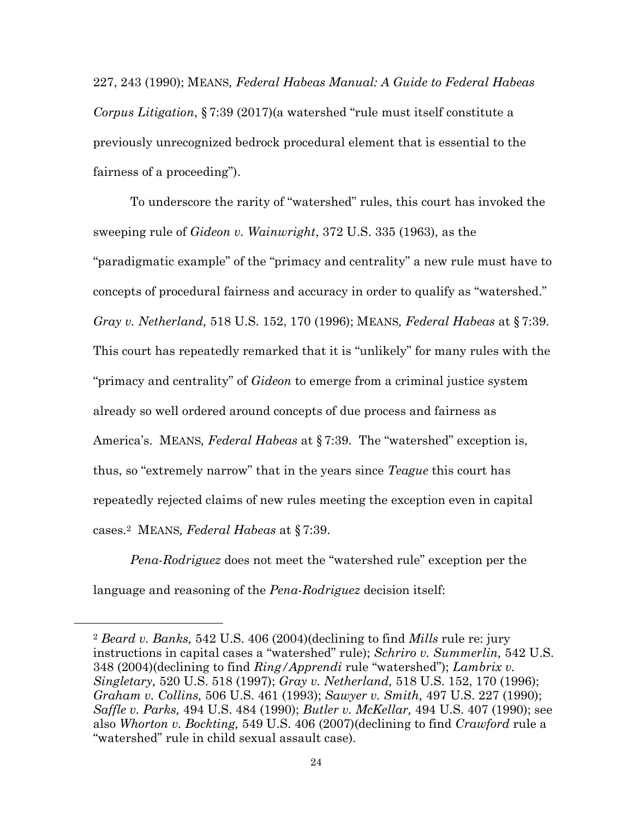227, 243 (1990); MEANS*, Federal Habeas Manual: A Guide to Federal Habeas Corpus Litigation*, § 7:39 (2017)(a watershed "rule must itself constitute a previously unrecognized bedrock procedural element that is essential to the fairness of a proceeding").

To underscore the rarity of "watershed" rules, this court has invoked the sweeping rule of *Gideon v. Wainwright*, 372 U.S. 335 (1963), as the "paradigmatic example" of the "primacy and centrality" a new rule must have to concepts of procedural fairness and accuracy in order to qualify as "watershed." *Gray v. Netherland,* 518 U.S. 152, 170 (1996); MEANS*, Federal Habeas* at § 7:39. This court has repeatedly remarked that it is "unlikely" for many rules with the "primacy and centrality" of *Gideon* to emerge from a criminal justice system already so well ordered around concepts of due process and fairness as America's. MEANS*, Federal Habeas* at § 7:39. The "watershed" exception is, thus, so "extremely narrow" that in the years since *Teague* this court has repeatedly rejected claims of new rules meeting the exception even in capital cases.2 MEANS*, Federal Habeas* at § 7:39.

*Pena-Rodriguez* does not meet the "watershed rule" exception per the language and reasoning of the *Pena-Rodriguez* decision itself:

l,

<sup>2</sup> *Beard v. Banks,* 542 U.S. 406 (2004)(declining to find *Mills* rule re: jury instructions in capital cases a "watershed" rule); *Schriro v. Summerlin,* 542 U.S. 348 (2004)(declining to find *Ring/Apprendi* rule "watershed"); *Lambrix v. Singletary,* 520 U.S. 518 (1997); *Gray v. Netherland,* 518 U.S. 152, 170 (1996); *Graham v. Collins,* 506 U.S. 461 (1993); *Sawyer v. Smith,* 497 U.S. 227 (1990); *Saffle v. Parks,* 494 U.S. 484 (1990); *Butler v. McKellar,* 494 U.S. 407 (1990); see also *Whorton v. Bockting,* 549 U.S. 406 (2007)(declining to find *Crawford* rule a "watershed" rule in child sexual assault case).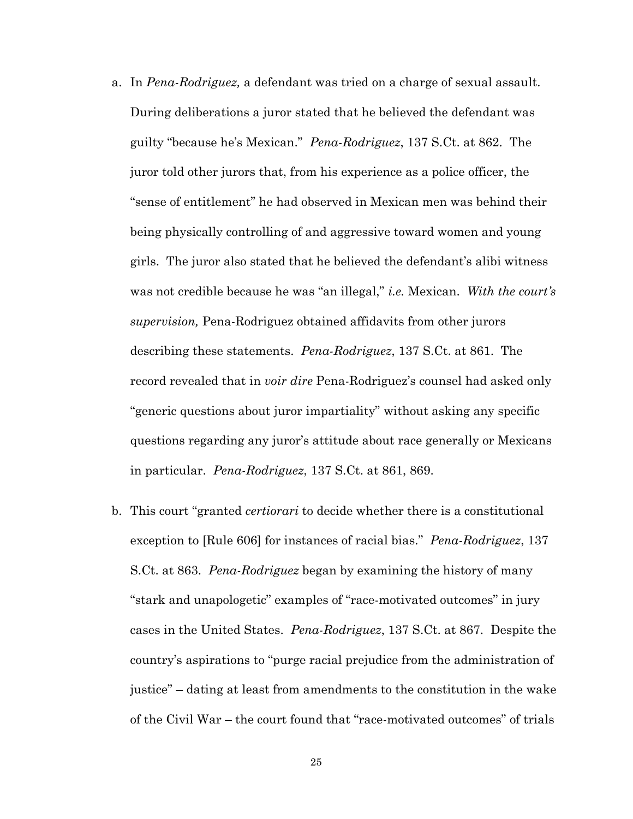- a. In *Pena-Rodriguez,* a defendant was tried on a charge of sexual assault. During deliberations a juror stated that he believed the defendant was guilty "because he's Mexican." *Pena-Rodriguez*, 137 S.Ct. at 862. The juror told other jurors that, from his experience as a police officer, the "sense of entitlement" he had observed in Mexican men was behind their being physically controlling of and aggressive toward women and young girls. The juror also stated that he believed the defendant's alibi witness was not credible because he was "an illegal," *i.e.* Mexican. *With the court's supervision,* Pena-Rodriguez obtained affidavits from other jurors describing these statements. *Pena-Rodriguez*, 137 S.Ct. at 861. The record revealed that in *voir dire* Pena-Rodriguez's counsel had asked only "generic questions about juror impartiality" without asking any specific questions regarding any juror's attitude about race generally or Mexicans in particular. *Pena-Rodriguez*, 137 S.Ct. at 861, 869.
- b. This court "granted *certiorari* to decide whether there is a constitutional exception to [Rule 606] for instances of racial bias." *Pena-Rodriguez*, 137 S.Ct. at 863. *Pena-Rodriguez* began by examining the history of many "stark and unapologetic" examples of "race-motivated outcomes" in jury cases in the United States. *Pena-Rodriguez*, 137 S.Ct. at 867. Despite the country's aspirations to "purge racial prejudice from the administration of justice" – dating at least from amendments to the constitution in the wake of the Civil War – the court found that "race-motivated outcomes" of trials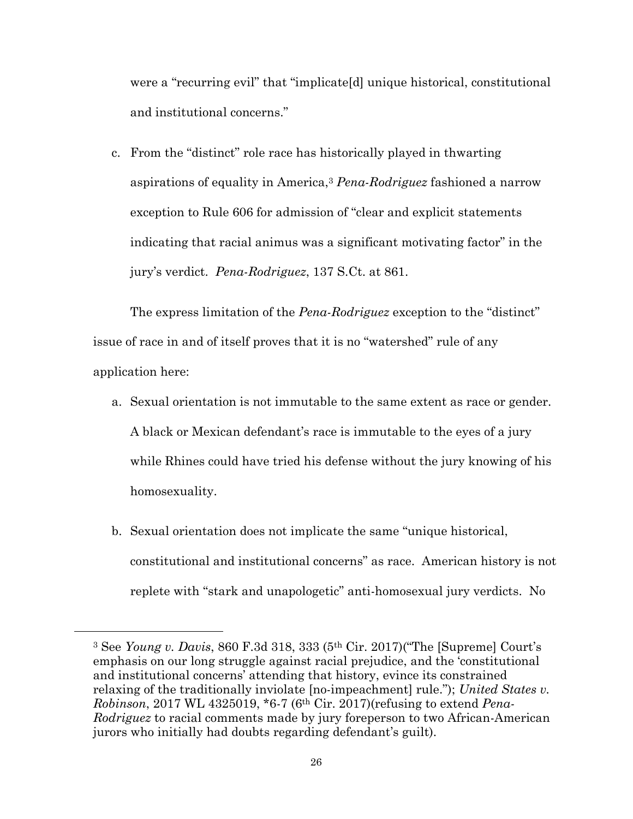were a "recurring evil" that "implicate[d] unique historical, constitutional and institutional concerns."

c. From the "distinct" role race has historically played in thwarting aspirations of equality in America,<sup>3</sup> *Pena-Rodriguez* fashioned a narrow exception to Rule 606 for admission of "clear and explicit statements indicating that racial animus was a significant motivating factor" in the jury's verdict. *Pena-Rodriguez*, 137 S.Ct. at 861.

The express limitation of the *Pena-Rodriguez* exception to the "distinct" issue of race in and of itself proves that it is no "watershed" rule of any application here:

- a. Sexual orientation is not immutable to the same extent as race or gender. A black or Mexican defendant's race is immutable to the eyes of a jury while Rhines could have tried his defense without the jury knowing of his homosexuality.
- b. Sexual orientation does not implicate the same "unique historical, constitutional and institutional concerns" as race. American history is not replete with "stark and unapologetic" anti-homosexual jury verdicts. No

<u>.</u>

<sup>3</sup> See *Young v. Davis*, 860 F.3d 318, 333 (5th Cir. 2017)("The [Supreme] Court's emphasis on our long struggle against racial prejudice, and the 'constitutional and institutional concerns' attending that history, evince its constrained relaxing of the traditionally inviolate [no-impeachment] rule."); *United States v. Robinson*, 2017 WL 4325019, \*6-7 (6th Cir. 2017)(refusing to extend *Pena-Rodriguez* to racial comments made by jury foreperson to two African-American jurors who initially had doubts regarding defendant's guilt).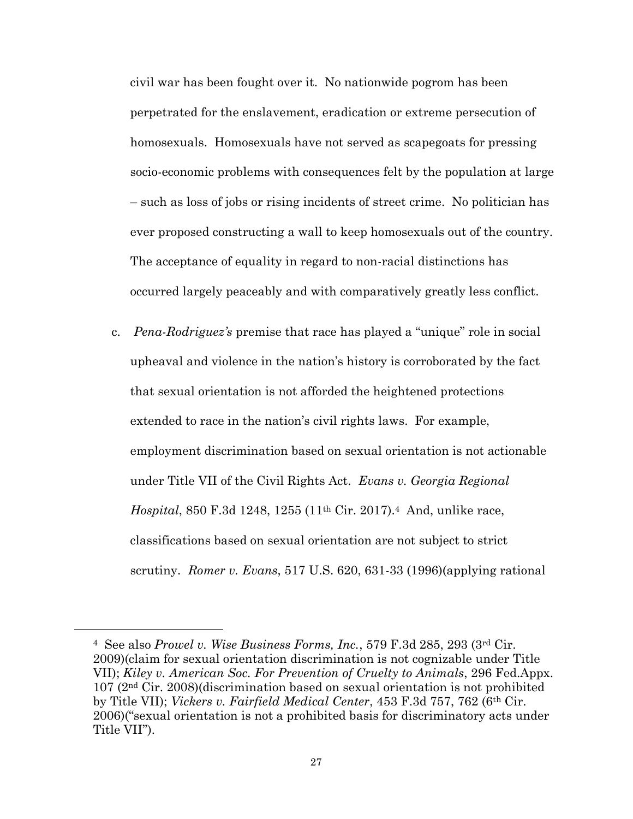civil war has been fought over it. No nationwide pogrom has been perpetrated for the enslavement, eradication or extreme persecution of homosexuals. Homosexuals have not served as scapegoats for pressing socio-economic problems with consequences felt by the population at large – such as loss of jobs or rising incidents of street crime. No politician has ever proposed constructing a wall to keep homosexuals out of the country. The acceptance of equality in regard to non-racial distinctions has occurred largely peaceably and with comparatively greatly less conflict.

c. *Pena-Rodriguez's* premise that race has played a "unique" role in social upheaval and violence in the nation's history is corroborated by the fact that sexual orientation is not afforded the heightened protections extended to race in the nation's civil rights laws. For example, employment discrimination based on sexual orientation is not actionable under Title VII of the Civil Rights Act. *Evans v. Georgia Regional Hospital*, 850 F.3d 1248, 1255 (11th Cir. 2017).4 And, unlike race, classifications based on sexual orientation are not subject to strict scrutiny. *Romer v. Evans*, 517 U.S. 620, 631-33 (1996)(applying rational

<u>.</u>

<sup>4</sup> See also *Prowel v. Wise Business Forms, Inc.*, 579 F.3d 285, 293 (3rd Cir. 2009)(claim for sexual orientation discrimination is not cognizable under Title VII); *Kiley v. American Soc. For Prevention of Cruelty to Animals*, 296 Fed.Appx. 107 (2nd Cir. 2008)(discrimination based on sexual orientation is not prohibited by Title VII); *Vickers v. Fairfield Medical Center*, 453 F.3d 757, 762 (6th Cir. 2006)("sexual orientation is not a prohibited basis for discriminatory acts under Title VII").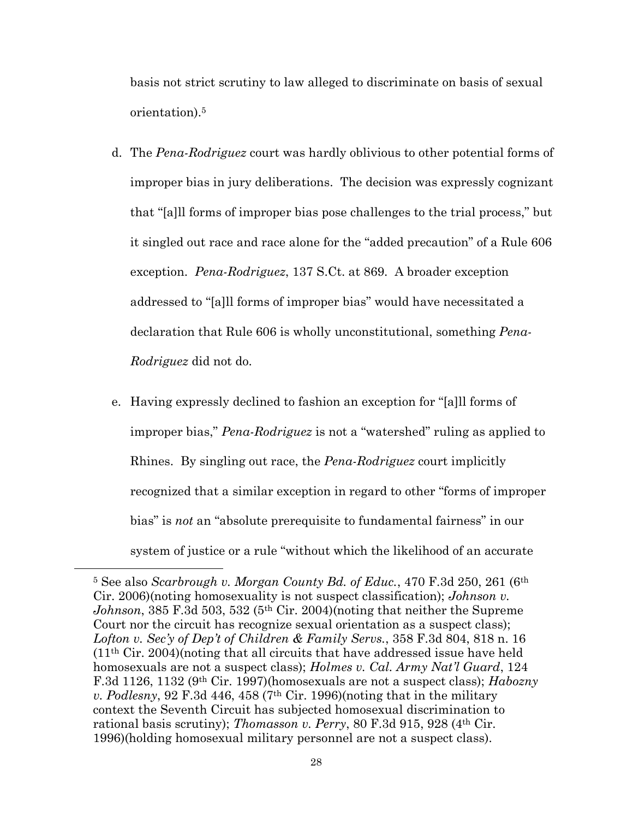basis not strict scrutiny to law alleged to discriminate on basis of sexual orientation).<sup>5</sup>

- d. The *Pena-Rodriguez* court was hardly oblivious to other potential forms of improper bias in jury deliberations. The decision was expressly cognizant that "[a]ll forms of improper bias pose challenges to the trial process," but it singled out race and race alone for the "added precaution" of a Rule 606 exception. *Pena-Rodriguez*, 137 S.Ct. at 869. A broader exception addressed to "[a]ll forms of improper bias" would have necessitated a declaration that Rule 606 is wholly unconstitutional, something *Pena-Rodriguez* did not do.
- e. Having expressly declined to fashion an exception for "[a]ll forms of improper bias," *Pena-Rodriguez* is not a "watershed" ruling as applied to Rhines. By singling out race, the *Pena-Rodriguez* court implicitly recognized that a similar exception in regard to other "forms of improper bias" is *not* an "absolute prerequisite to fundamental fairness" in our system of justice or a rule "without which the likelihood of an accurate

l,

<sup>5</sup> See also *Scarbrough v. Morgan County Bd. of Educ.*, 470 F.3d 250, 261 (6th Cir. 2006)(noting homosexuality is not suspect classification); *Johnson v. Johnson*, 385 F.3d 503, 532 (5<sup>th</sup> Cir. 2004)(noting that neither the Supreme Court nor the circuit has recognize sexual orientation as a suspect class); *Lofton v. Sec'y of Dep't of Children & Family Servs.*, 358 F.3d 804, 818 n. 16  $(11<sup>th</sup> Cir. 2004)$ (noting that all circuits that have addressed issue have held homosexuals are not a suspect class); *Holmes v. Cal. Army Nat'l Guard*, 124 F.3d 1126, 1132 (9th Cir. 1997)(homosexuals are not a suspect class); *Habozny v. Podlesny*, 92 F.3d 446, 458 (7<sup>th</sup> Cir. 1996)(noting that in the military context the Seventh Circuit has subjected homosexual discrimination to rational basis scrutiny); *Thomasson v. Perry*, 80 F.3d 915, 928 (4th Cir. 1996)(holding homosexual military personnel are not a suspect class).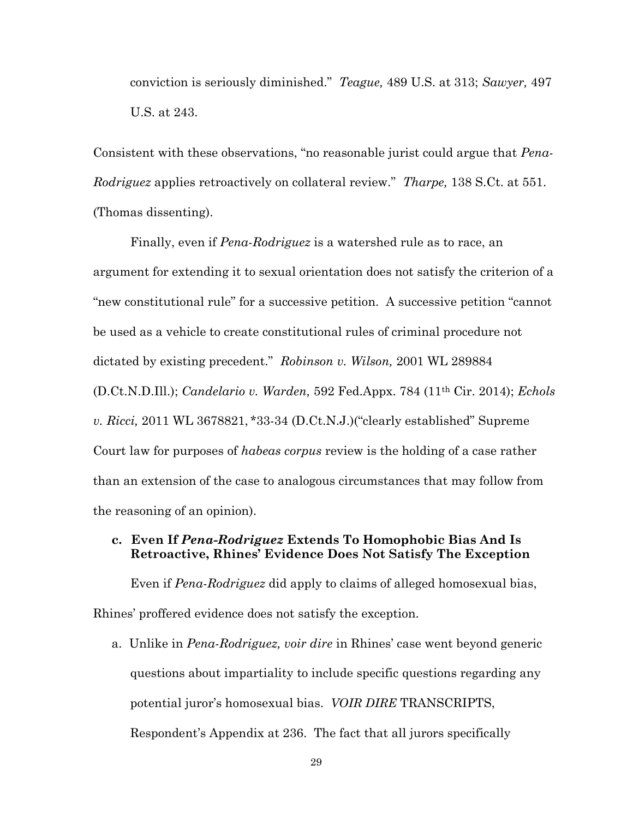conviction is seriously diminished." *Teague,* 489 U.S. at 313; *Sawyer,* 497 U.S. at 243.

Consistent with these observations, "no reasonable jurist could argue that *Pena-Rodriguez* applies retroactively on collateral review." *Tharpe,* 138 S.Ct. at 551. (Thomas dissenting).

Finally, even if *Pena-Rodriguez* is a watershed rule as to race, an argument for extending it to sexual orientation does not satisfy the criterion of a "new constitutional rule" for a successive petition. A successive petition "cannot be used as a vehicle to create constitutional rules of criminal procedure not dictated by existing precedent." *Robinson v. Wilson,* 2001 WL 289884 (D.Ct.N.D.Ill.); *Candelario v. Warden,* 592 Fed.Appx. 784 (11th Cir. 2014); *Echols v. Ricci,* 2011 WL 3678821, \*33-34 (D.Ct.N.J.)("clearly established" Supreme Court law for purposes of *habeas corpus* review is the holding of a case rather than an extension of the case to analogous circumstances that may follow from the reasoning of an opinion).

### **c. Even If** *Pena-Rodriguez* **Extends To Homophobic Bias And Is Retroactive, Rhines' Evidence Does Not Satisfy The Exception**

Even if *Pena-Rodriguez* did apply to claims of alleged homosexual bias, Rhines' proffered evidence does not satisfy the exception.

a. Unlike in *Pena-Rodriguez, voir dire* in Rhines' case went beyond generic questions about impartiality to include specific questions regarding any potential juror's homosexual bias. *VOIR DIRE* TRANSCRIPTS, Respondent's Appendix at 236. The fact that all jurors specifically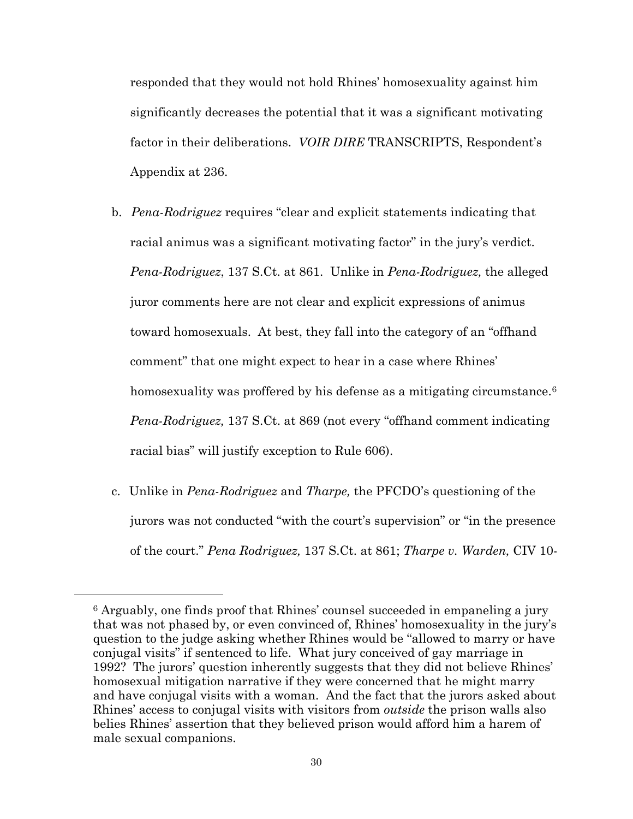responded that they would not hold Rhines' homosexuality against him significantly decreases the potential that it was a significant motivating factor in their deliberations. *VOIR DIRE* TRANSCRIPTS, Respondent's Appendix at 236.

- b. *Pena-Rodriguez* requires "clear and explicit statements indicating that racial animus was a significant motivating factor" in the jury's verdict. *Pena-Rodriguez*, 137 S.Ct. at 861. Unlike in *Pena-Rodriguez,* the alleged juror comments here are not clear and explicit expressions of animus toward homosexuals. At best, they fall into the category of an "offhand comment" that one might expect to hear in a case where Rhines' homosexuality was proffered by his defense as a mitigating circumstance.<sup>6</sup> *Pena-Rodriguez,* 137 S.Ct. at 869 (not every "offhand comment indicating racial bias" will justify exception to Rule 606).
- c. Unlike in *Pena-Rodriguez* and *Tharpe,* the PFCDO's questioning of the jurors was not conducted "with the court's supervision" or "in the presence of the court." *Pena Rodriguez,* 137 S.Ct. at 861; *Tharpe v. Warden,* CIV 10-

l,

<sup>6</sup> Arguably, one finds proof that Rhines' counsel succeeded in empaneling a jury that was not phased by, or even convinced of, Rhines' homosexuality in the jury's question to the judge asking whether Rhines would be "allowed to marry or have conjugal visits" if sentenced to life. What jury conceived of gay marriage in 1992? The jurors' question inherently suggests that they did not believe Rhines' homosexual mitigation narrative if they were concerned that he might marry and have conjugal visits with a woman. And the fact that the jurors asked about Rhines' access to conjugal visits with visitors from *outside* the prison walls also belies Rhines' assertion that they believed prison would afford him a harem of male sexual companions.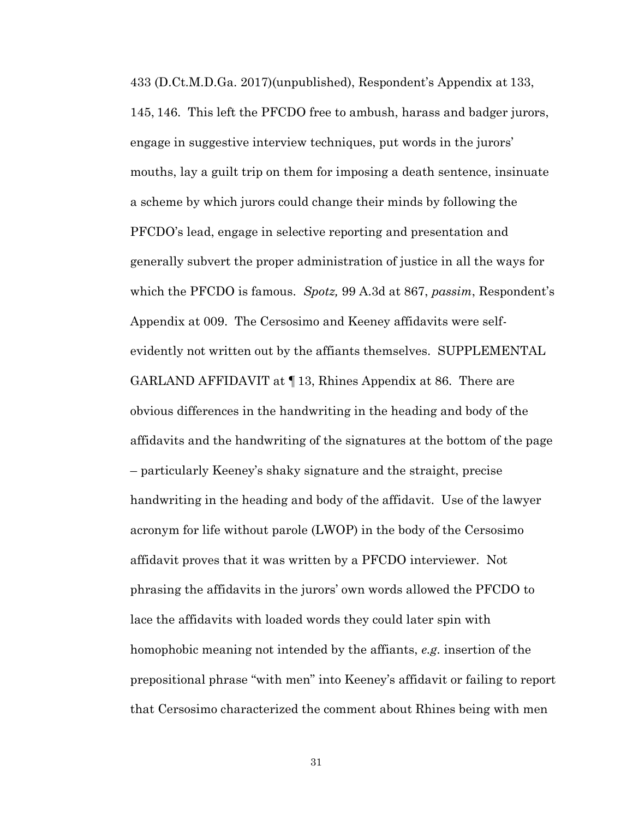433 (D.Ct.M.D.Ga. 2017)(unpublished), Respondent's Appendix at 133, 145, 146. This left the PFCDO free to ambush, harass and badger jurors, engage in suggestive interview techniques, put words in the jurors' mouths, lay a guilt trip on them for imposing a death sentence, insinuate a scheme by which jurors could change their minds by following the PFCDO's lead, engage in selective reporting and presentation and generally subvert the proper administration of justice in all the ways for which the PFCDO is famous. *Spotz,* 99 A.3d at 867, *passim*, Respondent's Appendix at 009. The Cersosimo and Keeney affidavits were selfevidently not written out by the affiants themselves. SUPPLEMENTAL GARLAND AFFIDAVIT at ¶13, Rhines Appendix at 86. There are obvious differences in the handwriting in the heading and body of the affidavits and the handwriting of the signatures at the bottom of the page – particularly Keeney's shaky signature and the straight, precise handwriting in the heading and body of the affidavit. Use of the lawyer acronym for life without parole (LWOP) in the body of the Cersosimo affidavit proves that it was written by a PFCDO interviewer. Not phrasing the affidavits in the jurors' own words allowed the PFCDO to lace the affidavits with loaded words they could later spin with homophobic meaning not intended by the affiants, *e.g.* insertion of the prepositional phrase "with men" into Keeney's affidavit or failing to report that Cersosimo characterized the comment about Rhines being with men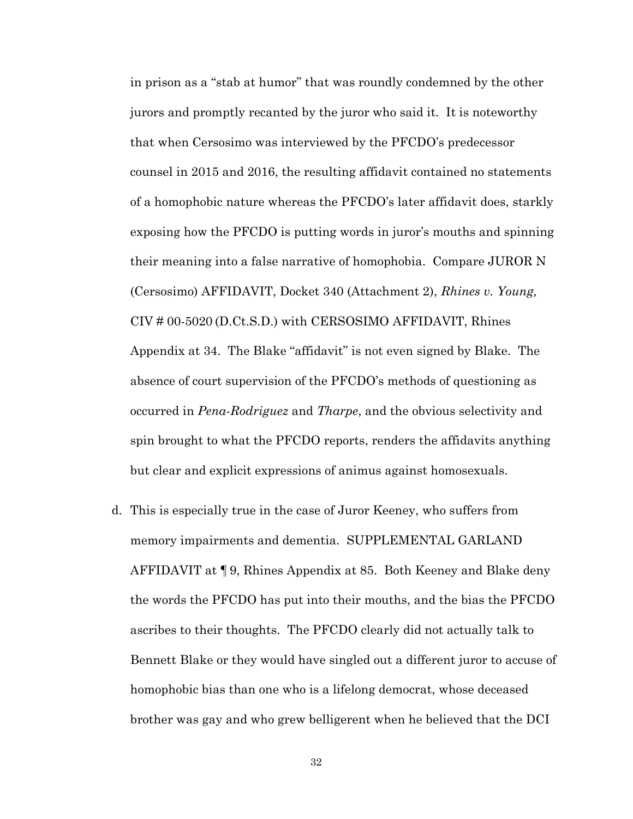in prison as a "stab at humor" that was roundly condemned by the other jurors and promptly recanted by the juror who said it. It is noteworthy that when Cersosimo was interviewed by the PFCDO's predecessor counsel in 2015 and 2016, the resulting affidavit contained no statements of a homophobic nature whereas the PFCDO's later affidavit does, starkly exposing how the PFCDO is putting words in juror's mouths and spinning their meaning into a false narrative of homophobia. Compare JUROR N (Cersosimo) AFFIDAVIT, Docket 340 (Attachment 2), *Rhines v. Young,*  CIV # 00-5020 (D.Ct.S.D.) with CERSOSIMO AFFIDAVIT, Rhines Appendix at 34. The Blake "affidavit" is not even signed by Blake. The absence of court supervision of the PFCDO's methods of questioning as occurred in *Pena-Rodriguez* and *Tharpe*, and the obvious selectivity and spin brought to what the PFCDO reports, renders the affidavits anything but clear and explicit expressions of animus against homosexuals.

d. This is especially true in the case of Juror Keeney, who suffers from memory impairments and dementia. SUPPLEMENTAL GARLAND AFFIDAVIT at ¶9, Rhines Appendix at 85. Both Keeney and Blake deny the words the PFCDO has put into their mouths, and the bias the PFCDO ascribes to their thoughts. The PFCDO clearly did not actually talk to Bennett Blake or they would have singled out a different juror to accuse of homophobic bias than one who is a lifelong democrat, whose deceased brother was gay and who grew belligerent when he believed that the DCI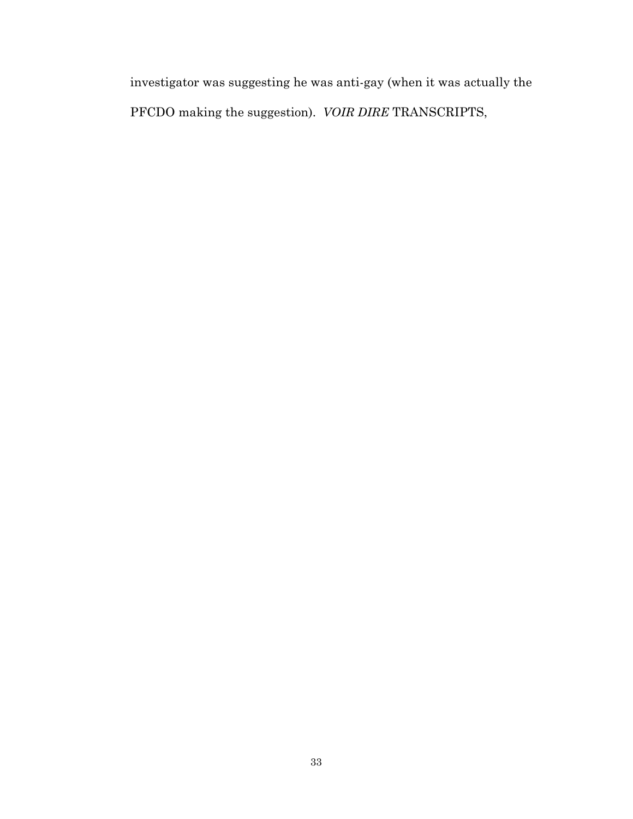investigator was suggesting he was anti-gay (when it was actually the PFCDO making the suggestion). *VOIR DIRE* TRANSCRIPTS,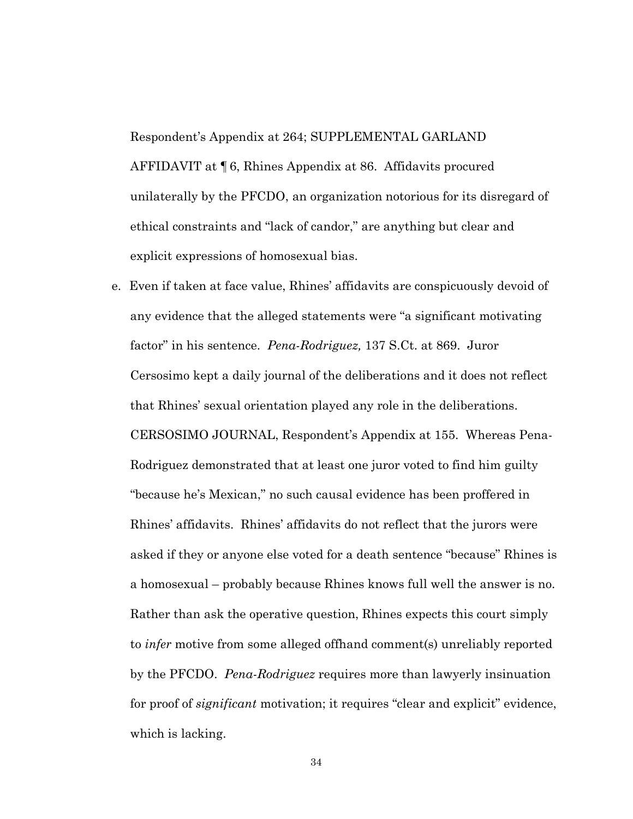Respondent's Appendix at 264; SUPPLEMENTAL GARLAND AFFIDAVIT at ¶6, Rhines Appendix at 86. Affidavits procured unilaterally by the PFCDO, an organization notorious for its disregard of ethical constraints and "lack of candor," are anything but clear and explicit expressions of homosexual bias.

e. Even if taken at face value, Rhines' affidavits are conspicuously devoid of any evidence that the alleged statements were "a significant motivating factor" in his sentence. *Pena-Rodriguez,* 137 S.Ct. at 869. Juror Cersosimo kept a daily journal of the deliberations and it does not reflect that Rhines' sexual orientation played any role in the deliberations. CERSOSIMO JOURNAL, Respondent's Appendix at 155. Whereas Pena-Rodriguez demonstrated that at least one juror voted to find him guilty "because he's Mexican," no such causal evidence has been proffered in Rhines' affidavits. Rhines' affidavits do not reflect that the jurors were asked if they or anyone else voted for a death sentence "because" Rhines is a homosexual – probably because Rhines knows full well the answer is no. Rather than ask the operative question, Rhines expects this court simply to *infer* motive from some alleged offhand comment(s) unreliably reported by the PFCDO. *Pena-Rodriguez* requires more than lawyerly insinuation for proof of *significant* motivation; it requires "clear and explicit" evidence, which is lacking.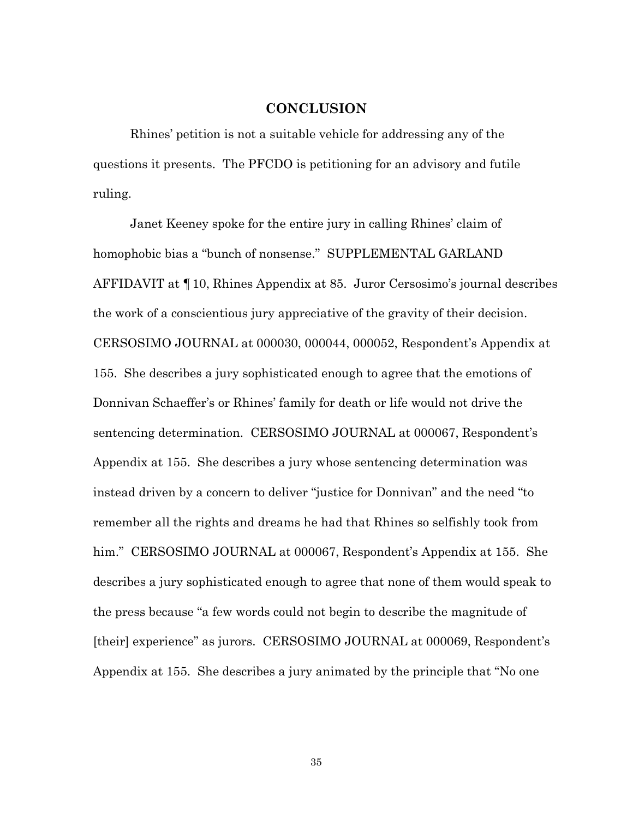### **CONCLUSION**

Rhines' petition is not a suitable vehicle for addressing any of the questions it presents. The PFCDO is petitioning for an advisory and futile ruling.

Janet Keeney spoke for the entire jury in calling Rhines' claim of homophobic bias a "bunch of nonsense." SUPPLEMENTAL GARLAND AFFIDAVIT at ¶10, Rhines Appendix at 85. Juror Cersosimo's journal describes the work of a conscientious jury appreciative of the gravity of their decision. CERSOSIMO JOURNAL at 000030, 000044, 000052, Respondent's Appendix at 155. She describes a jury sophisticated enough to agree that the emotions of Donnivan Schaeffer's or Rhines' family for death or life would not drive the sentencing determination. CERSOSIMO JOURNAL at 000067, Respondent's Appendix at 155. She describes a jury whose sentencing determination was instead driven by a concern to deliver "justice for Donnivan" and the need "to remember all the rights and dreams he had that Rhines so selfishly took from him." CERSOSIMO JOURNAL at 000067, Respondent's Appendix at 155. She describes a jury sophisticated enough to agree that none of them would speak to the press because "a few words could not begin to describe the magnitude of [their] experience" as jurors. CERSOSIMO JOURNAL at 000069, Respondent's Appendix at 155. She describes a jury animated by the principle that "No one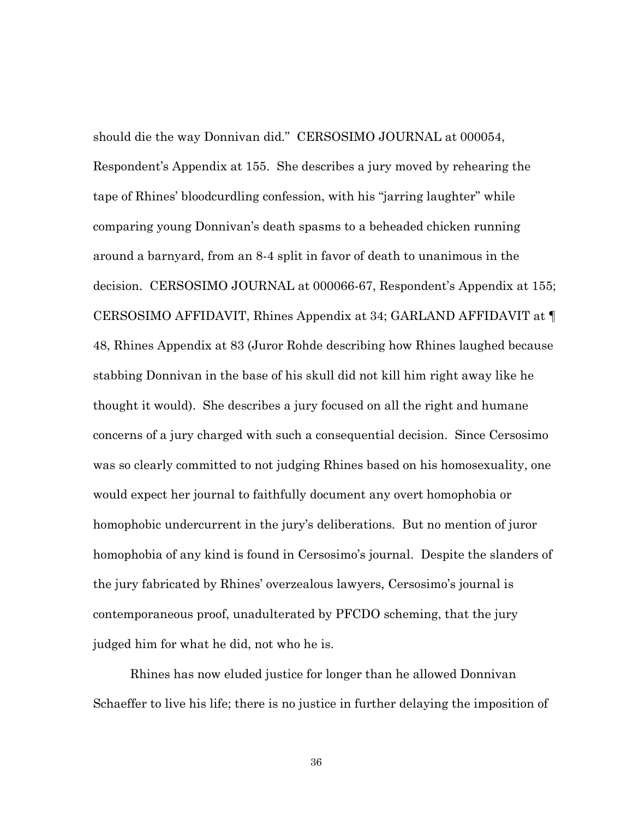should die the way Donnivan did." CERSOSIMO JOURNAL at 000054, Respondent's Appendix at 155. She describes a jury moved by rehearing the tape of Rhines' bloodcurdling confession, with his "jarring laughter" while comparing young Donnivan's death spasms to a beheaded chicken running around a barnyard, from an 8-4 split in favor of death to unanimous in the decision. CERSOSIMO JOURNAL at 000066-67, Respondent's Appendix at 155; CERSOSIMO AFFIDAVIT, Rhines Appendix at 34; GARLAND AFFIDAVIT at ¶ 48, Rhines Appendix at 83 (Juror Rohde describing how Rhines laughed because stabbing Donnivan in the base of his skull did not kill him right away like he thought it would). She describes a jury focused on all the right and humane concerns of a jury charged with such a consequential decision. Since Cersosimo was so clearly committed to not judging Rhines based on his homosexuality, one would expect her journal to faithfully document any overt homophobia or homophobic undercurrent in the jury's deliberations. But no mention of juror homophobia of any kind is found in Cersosimo's journal. Despite the slanders of the jury fabricated by Rhines' overzealous lawyers, Cersosimo's journal is contemporaneous proof, unadulterated by PFCDO scheming, that the jury judged him for what he did, not who he is.

Rhines has now eluded justice for longer than he allowed Donnivan Schaeffer to live his life; there is no justice in further delaying the imposition of